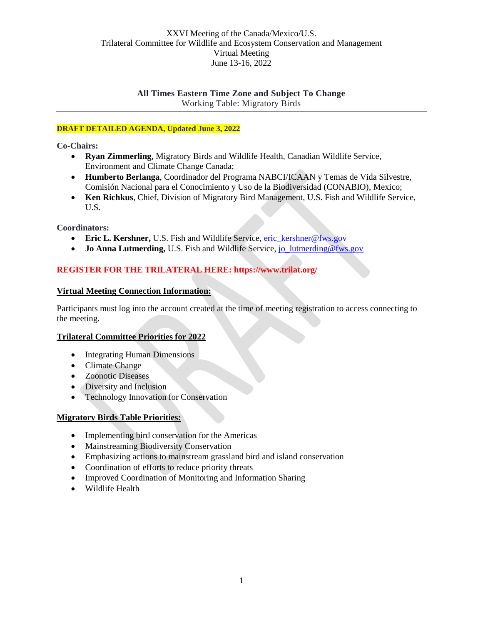# **All Times Eastern Time Zone and Subject To Change** Working Table: Migratory Birds

# **DRAFT DETAILED AGENDA, Updated June 3, 2022**

**Co-Chairs:** 

- **Ryan Zimmerling**, Migratory Birds and Wildlife Health, Canadian Wildlife Service, Environment and Climate Change Canada;
- **Humberto Berlanga**, Coordinador del Programa NABCI/ICAAN y Temas de Vida Silvestre, Comisión Nacional para el Conocimiento y Uso de la Biodiversidad (CONABIO), Mexico;
- **Ken Richkus**, Chief, Division of Migratory Bird Management, U.S. Fish and Wildlife Service, U.S.

**Coordinators:** 

- **Eric L. Kershner, U.S. Fish and Wildlife Service, [eric\\_kershner@fws.gov](mailto:eric_kershner@fws.gov)**
- **Jo Anna Lutmerding, U.S. Fish and Wildlife Service, [jo\\_lutmerding@fws.gov](mailto:jo_lutmerding@fws.gov)**

# **REGISTER FOR THE TRILATERAL HERE: https://www.trilat.org/**

#### **Virtual Meeting Connection Information:**

Participants must log into the account created at the time of meeting registration to access connecting to the meeting.

# **Trilateral Committee Priorities for 2022**

- Integrating Human Dimensions
- Climate Change
- Zoonotic Diseases
- Diversity and Inclusion
- Technology Innovation for Conservation

#### **Migratory Birds Table Priorities:**

- Implementing bird conservation for the Americas
- Mainstreaming Biodiversity Conservation
- Emphasizing actions to mainstream grassland bird and island conservation
- Coordination of efforts to reduce priority threats
- Improved Coordination of Monitoring and Information Sharing
- Wildlife Health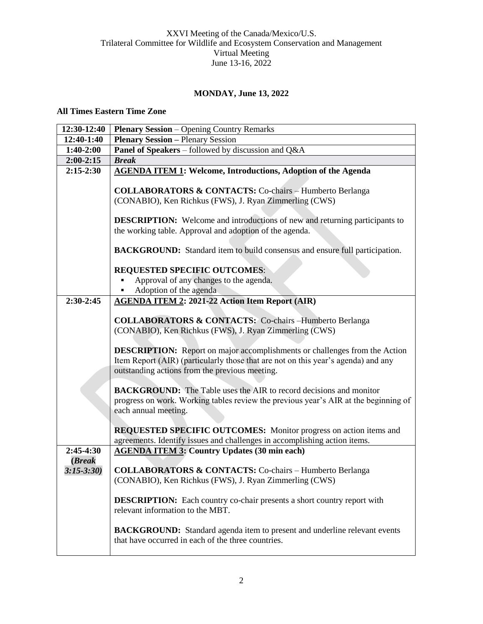# **MONDAY, June 13, 2022**

#### **All Times Eastern Time Zone**

| 12:30-12:40    | <b>Plenary Session</b> – Opening Country Remarks                                                                                 |
|----------------|----------------------------------------------------------------------------------------------------------------------------------|
| 12:40-1:40     | <b>Plenary Session - Plenary Session</b>                                                                                         |
| $1:40-2:00$    | Panel of Speakers - followed by discussion and Q&A                                                                               |
| $2:00-2:15$    | <b>Break</b>                                                                                                                     |
| $2:15-2:30$    | <b>AGENDA ITEM 1: Welcome, Introductions, Adoption of the Agenda</b>                                                             |
|                |                                                                                                                                  |
|                | <b>COLLABORATORS &amp; CONTACTS:</b> Co-chairs - Humberto Berlanga                                                               |
|                | (CONABIO), Ken Richkus (FWS), J. Ryan Zimmerling (CWS)                                                                           |
|                | <b>DESCRIPTION:</b> Welcome and introductions of new and returning participants to                                               |
|                | the working table. Approval and adoption of the agenda.                                                                          |
|                |                                                                                                                                  |
|                | BACKGROUND: Standard item to build consensus and ensure full participation.                                                      |
|                |                                                                                                                                  |
|                | <b>REQUESTED SPECIFIC OUTCOMES:</b>                                                                                              |
|                | Approval of any changes to the agenda.                                                                                           |
|                | Adoption of the agenda                                                                                                           |
| $2:30-2:45$    | <b>AGENDA ITEM 2: 2021-22 Action Item Report (AIR)</b>                                                                           |
|                |                                                                                                                                  |
|                | <b>COLLABORATORS &amp; CONTACTS:</b> Co-chairs -Humberto Berlanga                                                                |
|                | (CONABIO), Ken Richkus (FWS), J. Ryan Zimmerling (CWS)                                                                           |
|                | <b>DESCRIPTION:</b> Report on major accomplishments or challenges from the Action                                                |
|                | Item Report (AIR) (particularly those that are not on this year's agenda) and any                                                |
|                | outstanding actions from the previous meeting.                                                                                   |
|                |                                                                                                                                  |
|                | <b>BACKGROUND:</b> The Table uses the AIR to record decisions and monitor                                                        |
|                | progress on work. Working tables review the previous year's AIR at the beginning of                                              |
|                | each annual meeting.                                                                                                             |
|                |                                                                                                                                  |
|                | <b>REQUESTED SPECIFIC OUTCOMES:</b> Monitor progress on action items and                                                         |
| $2:45-4:30$    | agreements. Identify issues and challenges in accomplishing action items.<br><b>AGENDA ITEM 3: Country Updates (30 min each)</b> |
| ( <b>Break</b> |                                                                                                                                  |
| $3:15 - 3:30$  | <b>COLLABORATORS &amp; CONTACTS:</b> Co-chairs - Humberto Berlanga                                                               |
|                | (CONABIO), Ken Richkus (FWS), J. Ryan Zimmerling (CWS)                                                                           |
|                |                                                                                                                                  |
|                | <b>DESCRIPTION:</b> Each country co-chair presents a short country report with                                                   |
|                | relevant information to the MBT.                                                                                                 |
|                |                                                                                                                                  |
|                | <b>BACKGROUND:</b> Standard agenda item to present and underline relevant events                                                 |
|                | that have occurred in each of the three countries.                                                                               |
|                |                                                                                                                                  |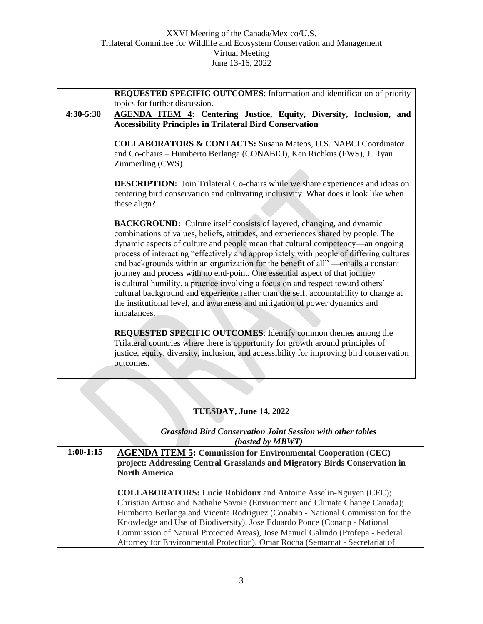|               | REQUESTED SPECIFIC OUTCOMES: Information and identification of priority                                                                                                                                                                                                                                                                                                                                                                                                                                                                                                                                                                                                                                                                                                                        |
|---------------|------------------------------------------------------------------------------------------------------------------------------------------------------------------------------------------------------------------------------------------------------------------------------------------------------------------------------------------------------------------------------------------------------------------------------------------------------------------------------------------------------------------------------------------------------------------------------------------------------------------------------------------------------------------------------------------------------------------------------------------------------------------------------------------------|
|               | topics for further discussion.                                                                                                                                                                                                                                                                                                                                                                                                                                                                                                                                                                                                                                                                                                                                                                 |
| $4:30 - 5:30$ | <b>AGENDA ITEM 4: Centering Justice, Equity, Diversity, Inclusion, and</b><br><b>Accessibility Principles in Trilateral Bird Conservation</b>                                                                                                                                                                                                                                                                                                                                                                                                                                                                                                                                                                                                                                                  |
|               | <b>COLLABORATORS &amp; CONTACTS:</b> Susana Mateos, U.S. NABCI Coordinator<br>and Co-chairs - Humberto Berlanga (CONABIO), Ken Richkus (FWS), J. Ryan<br>Zimmerling (CWS)                                                                                                                                                                                                                                                                                                                                                                                                                                                                                                                                                                                                                      |
|               | <b>DESCRIPTION:</b> Join Trilateral Co-chairs while we share experiences and ideas on<br>centering bird conservation and cultivating inclusivity. What does it look like when<br>these align?                                                                                                                                                                                                                                                                                                                                                                                                                                                                                                                                                                                                  |
|               | <b>BACKGROUND:</b> Culture itself consists of layered, changing, and dynamic<br>combinations of values, beliefs, attitudes, and experiences shared by people. The<br>dynamic aspects of culture and people mean that cultural competency—an ongoing<br>process of interacting "effectively and appropriately with people of differing cultures<br>and backgrounds within an organization for the benefit of all" - entails a constant<br>journey and process with no end-point. One essential aspect of that journey<br>is cultural humility, a practice involving a focus on and respect toward others'<br>cultural background and experience rather than the self, accountability to change at<br>the institutional level, and awareness and mitigation of power dynamics and<br>imbalances. |
|               | REQUESTED SPECIFIC OUTCOMES: Identify common themes among the<br>Trilateral countries where there is opportunity for growth around principles of<br>justice, equity, diversity, inclusion, and accessibility for improving bird conservation<br>outcomes.                                                                                                                                                                                                                                                                                                                                                                                                                                                                                                                                      |
|               |                                                                                                                                                                                                                                                                                                                                                                                                                                                                                                                                                                                                                                                                                                                                                                                                |

# **TUESDAY, June 14, 2022**

|             | <b>Grassland Bird Conservation Joint Session with other tables</b><br>(hosted by MBWT) |
|-------------|----------------------------------------------------------------------------------------|
| $1:00-1:15$ | <b>AGENDA ITEM 5: Commission for Environmental Cooperation (CEC)</b>                   |
|             | project: Addressing Central Grasslands and Migratory Birds Conservation in             |
|             | <b>North America</b>                                                                   |
|             |                                                                                        |
|             | <b>COLLABORATORS: Lucie Robidoux</b> and Antoine Asselin-Nguyen (CEC);                 |
|             | Christian Artuso and Nathalie Savoie (Environment and Climate Change Canada);          |
|             | Humberto Berlanga and Vicente Rodriguez (Conabio - National Commission for the         |
|             | Knowledge and Use of Biodiversity), Jose Eduardo Ponce (Conanp - National              |
|             | Commission of Natural Protected Areas), Jose Manuel Galindo (Profepa - Federal         |
|             | Attorney for Environmental Protection), Omar Rocha (Semarnat - Secretariat of          |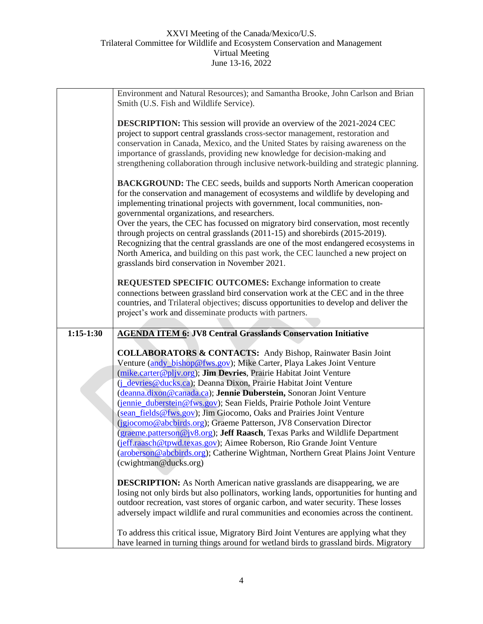|             | Environment and Natural Resources); and Samantha Brooke, John Carlson and Brian<br>Smith (U.S. Fish and Wildlife Service).                                                                                                                                                                                                                                                                                                   |
|-------------|------------------------------------------------------------------------------------------------------------------------------------------------------------------------------------------------------------------------------------------------------------------------------------------------------------------------------------------------------------------------------------------------------------------------------|
|             | <b>DESCRIPTION:</b> This session will provide an overview of the 2021-2024 CEC<br>project to support central grasslands cross-sector management, restoration and<br>conservation in Canada, Mexico, and the United States by raising awareness on the<br>importance of grasslands, providing new knowledge for decision-making and<br>strengthening collaboration through inclusive network-building and strategic planning. |
|             | <b>BACKGROUND:</b> The CEC seeds, builds and supports North American cooperation<br>for the conservation and management of ecosystems and wildlife by developing and<br>implementing trinational projects with government, local communities, non-<br>governmental organizations, and researchers.                                                                                                                           |
|             | Over the years, the CEC has focussed on migratory bird conservation, most recently<br>through projects on central grasslands (2011-15) and shorebirds (2015-2019).<br>Recognizing that the central grasslands are one of the most endangered ecosystems in<br>North America, and building on this past work, the CEC launched a new project on<br>grasslands bird conservation in November 2021.                             |
|             | <b>REQUESTED SPECIFIC OUTCOMES:</b> Exchange information to create<br>connections between grassland bird conservation work at the CEC and in the three<br>countries, and Trilateral objectives; discuss opportunities to develop and deliver the<br>project's work and disseminate products with partners.                                                                                                                   |
| $1:15-1:30$ | <b>AGENDA ITEM 6: JV8 Central Grasslands Conservation Initiative</b>                                                                                                                                                                                                                                                                                                                                                         |
|             | <b>COLLABORATORS &amp; CONTACTS:</b> Andy Bishop, Rainwater Basin Joint<br>Venture (andy bishop@fws.gov); Mike Carter, Playa Lakes Joint Venture                                                                                                                                                                                                                                                                             |
|             | (mike.carter@pljv.org); Jim Devries, Prairie Habitat Joint Venture                                                                                                                                                                                                                                                                                                                                                           |
|             | ( <i>j</i> devries @ducks.ca); Deanna Dixon, Prairie Habitat Joint Venture<br>(deanna.dixon@canada.ca); Jennie Duberstein, Sonoran Joint Venture                                                                                                                                                                                                                                                                             |
|             | (jennie_duberstein@fws.gov); Sean Fields, Prairie Pothole Joint Venture                                                                                                                                                                                                                                                                                                                                                      |
|             | (sean_fields@fws.gov); Jim Giocomo, Oaks and Prairies Joint Venture                                                                                                                                                                                                                                                                                                                                                          |
|             | (igiocomo@abcbirds.org); Graeme Patterson, JV8 Conservation Director<br>(graeme.patterson@jv8.org); Jeff Raasch, Texas Parks and Wildlife Department                                                                                                                                                                                                                                                                         |
|             | (jeff.raasch@tpwd.texas.gov); Aimee Roberson, Rio Grande Joint Venture<br>(aroberson@abcbirds.org); Catherine Wightman, Northern Great Plains Joint Venture<br>(cwightman@ducks.org)                                                                                                                                                                                                                                         |
|             | <b>DESCRIPTION:</b> As North American native grasslands are disappearing, we are                                                                                                                                                                                                                                                                                                                                             |
|             | losing not only birds but also pollinators, working lands, opportunities for hunting and<br>outdoor recreation, vast stores of organic carbon, and water security. These losses<br>adversely impact wildlife and rural communities and economies across the continent.                                                                                                                                                       |
|             |                                                                                                                                                                                                                                                                                                                                                                                                                              |
|             | To address this critical issue, Migratory Bird Joint Ventures are applying what they<br>have learned in turning things around for wetland birds to grassland birds. Migratory                                                                                                                                                                                                                                                |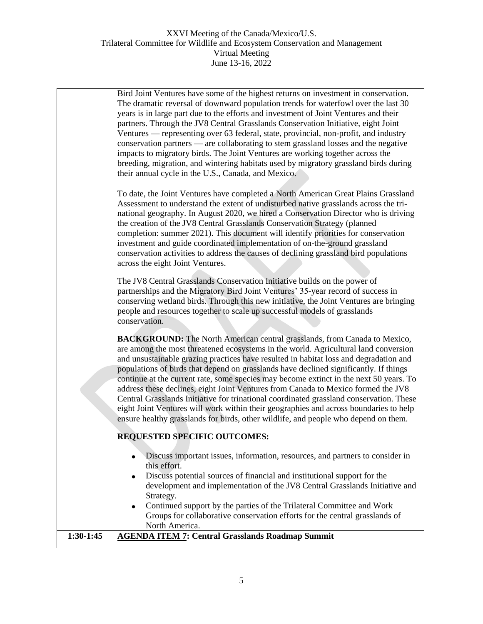|           | Bird Joint Ventures have some of the highest returns on investment in conservation.<br>The dramatic reversal of downward population trends for waterfowl over the last 30<br>years is in large part due to the efforts and investment of Joint Ventures and their<br>partners. Through the JV8 Central Grasslands Conservation Initiative, eight Joint<br>Ventures — representing over 63 federal, state, provincial, non-profit, and industry<br>conservation partners — are collaborating to stem grassland losses and the negative<br>impacts to migratory birds. The Joint Ventures are working together across the<br>breeding, migration, and wintering habitats used by migratory grassland birds during<br>their annual cycle in the U.S., Canada, and Mexico.<br>To date, the Joint Ventures have completed a North American Great Plains Grassland<br>Assessment to understand the extent of undisturbed native grasslands across the tri-<br>national geography. In August 2020, we hired a Conservation Director who is driving<br>the creation of the JV8 Central Grasslands Conservation Strategy (planned<br>completion: summer 2021). This document will identify priorities for conservation<br>investment and guide coordinated implementation of on-the-ground grassland |
|-----------|---------------------------------------------------------------------------------------------------------------------------------------------------------------------------------------------------------------------------------------------------------------------------------------------------------------------------------------------------------------------------------------------------------------------------------------------------------------------------------------------------------------------------------------------------------------------------------------------------------------------------------------------------------------------------------------------------------------------------------------------------------------------------------------------------------------------------------------------------------------------------------------------------------------------------------------------------------------------------------------------------------------------------------------------------------------------------------------------------------------------------------------------------------------------------------------------------------------------------------------------------------------------------------------------|
|           | conservation activities to address the causes of declining grassland bird populations<br>across the eight Joint Ventures.<br>The JV8 Central Grasslands Conservation Initiative builds on the power of<br>partnerships and the Migratory Bird Joint Ventures' 35-year record of success in<br>conserving wetland birds. Through this new initiative, the Joint Ventures are bringing<br>people and resources together to scale up successful models of grasslands<br>conservation.                                                                                                                                                                                                                                                                                                                                                                                                                                                                                                                                                                                                                                                                                                                                                                                                          |
|           | <b>BACKGROUND:</b> The North American central grasslands, from Canada to Mexico,<br>are among the most threatened ecosystems in the world. Agricultural land conversion<br>and unsustainable grazing practices have resulted in habitat loss and degradation and<br>populations of birds that depend on grasslands have declined significantly. If things<br>continue at the current rate, some species may become extinct in the next 50 years. To<br>address these declines, eight Joint Ventures from Canada to Mexico formed the JV8<br>Central Grasslands Initiative for trinational coordinated grassland conservation. These<br>eight Joint Ventures will work within their geographies and across boundaries to help<br>ensure healthy grasslands for birds, other wildlife, and people who depend on them.                                                                                                                                                                                                                                                                                                                                                                                                                                                                         |
|           | <b>REQUESTED SPECIFIC OUTCOMES:</b><br>Discuss important issues, information, resources, and partners to consider in<br>this effort.<br>Discuss potential sources of financial and institutional support for the<br>$\bullet$<br>development and implementation of the JV8 Central Grasslands Initiative and                                                                                                                                                                                                                                                                                                                                                                                                                                                                                                                                                                                                                                                                                                                                                                                                                                                                                                                                                                                |
| 1:30-1:45 | Strategy.<br>Continued support by the parties of the Trilateral Committee and Work<br>$\bullet$<br>Groups for collaborative conservation efforts for the central grasslands of<br>North America.<br><b>AGENDA ITEM 7: Central Grasslands Roadmap Summit</b>                                                                                                                                                                                                                                                                                                                                                                                                                                                                                                                                                                                                                                                                                                                                                                                                                                                                                                                                                                                                                                 |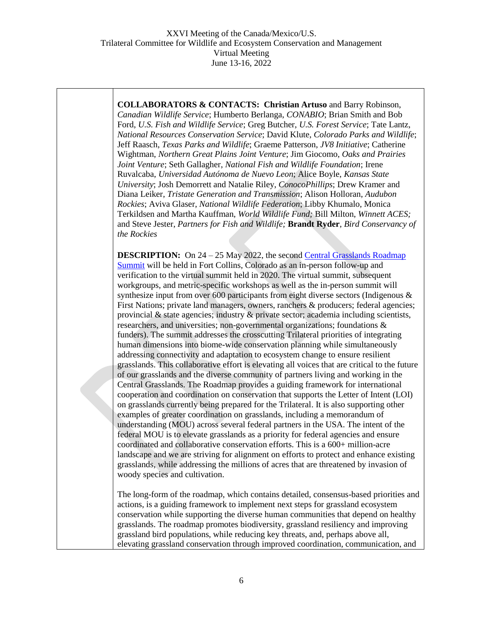**COLLABORATORS & CONTACTS: Christian Artuso** and Barry Robinson, *Canadian Wildlife Service*; Humberto Berlanga, *CONABIO*; Brian Smith and Bob Ford, *U.S. Fish and Wildlife Service*; Greg Butcher, *U.S. Forest Service*; Tate Lantz, *National Resources Conservation Service*; David Klute, *Colorado Parks and Wildlife*; Jeff Raasch, *Texas Parks and Wildlife*; Graeme Patterson, *JV8 Initiative*; Catherine Wightman, *Northern Great Plains Joint Venture*; Jim Giocomo, *Oaks and Prairies Joint Venture*; Seth Gallagher, *National Fish and Wildlife Foundation*; Irene Ruvalcaba, *Universidad Autónoma de Nuevo Leon*; Alice Boyle, *Kansas State University*; Josh Demorrett and Natalie Riley, *ConocoPhillips*; Drew Kramer and Diana Leiker, *Tristate Generation and Transmission*; Alison Holloran, *Audubon Rockies*; Aviva Glaser, *National Wildlife Federation*; Libby Khumalo, Monica Terkildsen and Martha Kauffman, *World Wildlife Fund;* Bill Milton, *Winnett ACES;*  and Steve Jester, *Partners for Fish and Wildlife;* **Brandt Ryder**, *Bird Conservancy of the Rockies*

**DESCRIPTION:** On 24 – 25 May 2022, the second Central Grasslands Roadmap [Summit](https://link.edgepilot.com/s/cafdde7a/8zWoAR7vsEufac_kelBDjA?u=https://grasslandsroadmap.org/) will be held in Fort Collins, Colorado as an in-person follow-up and verification to the virtual summit held in 2020. The virtual summit, subsequent workgroups, and metric-specific workshops as well as the in-person summit will synthesize input from over 600 participants from eight diverse sectors (Indigenous & First Nations; private land managers, owners, ranchers & producers; federal agencies; provincial & state agencies; industry & private sector; academia including scientists, researchers, and universities; non-governmental organizations; foundations & funders). The summit addresses the crosscutting Trilateral priorities of integrating human dimensions into biome-wide conservation planning while simultaneously addressing connectivity and adaptation to ecosystem change to ensure resilient grasslands. This collaborative effort is elevating all voices that are critical to the future of our grasslands and the diverse community of partners living and working in the Central Grasslands. The Roadmap provides a guiding framework for international cooperation and coordination on conservation that supports the Letter of Intent (LOI) on grasslands currently being prepared for the Trilateral. It is also supporting other examples of greater coordination on grasslands, including a memorandum of understanding (MOU) across several federal partners in the USA. The intent of the federal MOU is to elevate grasslands as a priority for federal agencies and ensure coordinated and collaborative conservation efforts. This is a 600+ million-acre landscape and we are striving for alignment on efforts to protect and enhance existing grasslands, while addressing the millions of acres that are threatened by invasion of woody species and cultivation.

The long-form of the roadmap, which contains detailed, consensus-based priorities and actions, is a guiding framework to implement next steps for grassland ecosystem conservation while supporting the diverse human communities that depend on healthy grasslands. The roadmap promotes biodiversity, grassland resiliency and improving grassland bird populations, while reducing key threats, and, perhaps above all, elevating grassland conservation through improved coordination, communication, and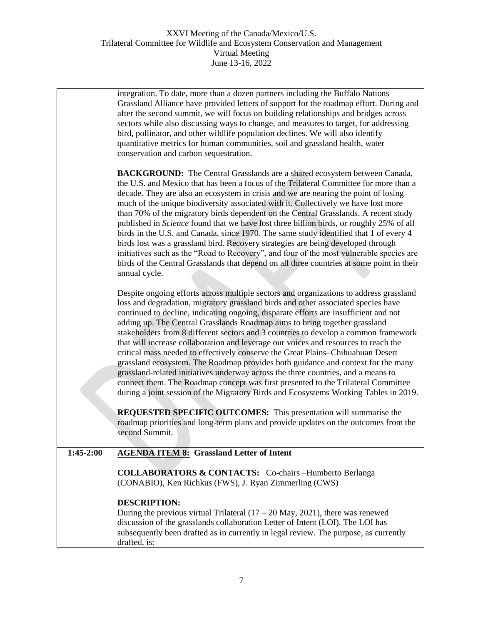|             | integration. To date, more than a dozen partners including the Buffalo Nations<br>Grassland Alliance have provided letters of support for the roadmap effort. During and<br>after the second summit, we will focus on building relationships and bridges across<br>sectors while also discussing ways to change, and measures to target, for addressing<br>bird, pollinator, and other wildlife population declines. We will also identify<br>quantitative metrics for human communities, soil and grassland health, water<br>conservation and carbon sequestration.                                                                                                                                                                                                                                                                                                                                                                                                     |
|-------------|--------------------------------------------------------------------------------------------------------------------------------------------------------------------------------------------------------------------------------------------------------------------------------------------------------------------------------------------------------------------------------------------------------------------------------------------------------------------------------------------------------------------------------------------------------------------------------------------------------------------------------------------------------------------------------------------------------------------------------------------------------------------------------------------------------------------------------------------------------------------------------------------------------------------------------------------------------------------------|
|             | <b>BACKGROUND:</b> The Central Grasslands are a shared ecosystem between Canada,<br>the U.S. and Mexico that has been a focus of the Trilateral Committee for more than a<br>decade. They are also an ecosystem in crisis and we are nearing the point of losing<br>much of the unique biodiversity associated with it. Collectively we have lost more<br>than 70% of the migratory birds dependent on the Central Grasslands. A recent study<br>published in Science found that we have lost three billion birds, or roughly 25% of all<br>birds in the U.S. and Canada, since 1970. The same study identified that 1 of every 4<br>birds lost was a grassland bird. Recovery strategies are being developed through<br>initiatives such as the "Road to Recovery", and four of the most vulnerable species are<br>birds of the Central Grasslands that depend on all three countries at some point in their<br>annual cycle.                                           |
|             | Despite ongoing efforts across multiple sectors and organizations to address grassland<br>loss and degradation, migratory grassland birds and other associated species have<br>continued to decline, indicating ongoing, disparate efforts are insufficient and not<br>adding up. The Central Grasslands Roadmap aims to bring together grassland<br>stakeholders from 8 different sectors and 3 countries to develop a common framework<br>that will increase collaboration and leverage our voices and resources to reach the<br>critical mass needed to effectively conserve the Great Plains-Chihuahuan Desert<br>grassland ecosystem. The Roadmap provides both guidance and context for the many<br>grassland-related initiatives underway across the three countries, and a means to<br>connect them. The Roadmap concept was first presented to the Trilateral Committee<br>during a joint session of the Migratory Birds and Ecosystems Working Tables in 2019. |
|             | REQUESTED SPECIFIC OUTCOMES: This presentation will summarise the<br>roadmap priorities and long-term plans and provide updates on the outcomes from the<br>second Summit.                                                                                                                                                                                                                                                                                                                                                                                                                                                                                                                                                                                                                                                                                                                                                                                               |
| $1:45-2:00$ | <b>AGENDA ITEM 8: Grassland Letter of Intent</b>                                                                                                                                                                                                                                                                                                                                                                                                                                                                                                                                                                                                                                                                                                                                                                                                                                                                                                                         |
|             | <b>COLLABORATORS &amp; CONTACTS:</b> Co-chairs -Humberto Berlanga<br>(CONABIO), Ken Richkus (FWS), J. Ryan Zimmerling (CWS)                                                                                                                                                                                                                                                                                                                                                                                                                                                                                                                                                                                                                                                                                                                                                                                                                                              |
|             | <b>DESCRIPTION:</b><br>During the previous virtual Trilateral $(17 – 20$ May, 2021), there was renewed<br>discussion of the grasslands collaboration Letter of Intent (LOI). The LOI has<br>subsequently been drafted as in currently in legal review. The purpose, as currently<br>drafted, is:                                                                                                                                                                                                                                                                                                                                                                                                                                                                                                                                                                                                                                                                         |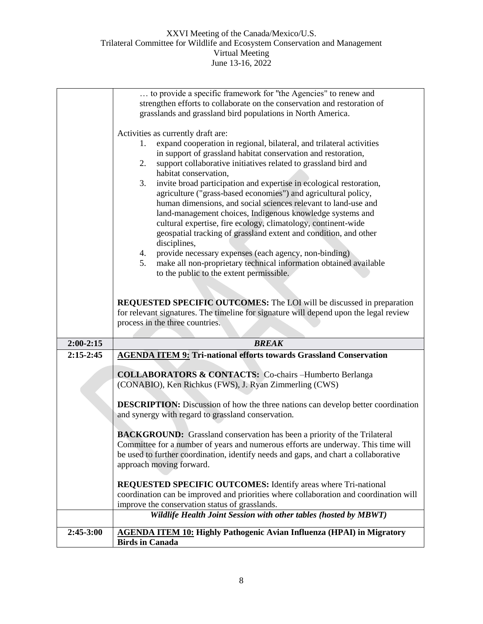|                            | to provide a specific framework for "the Agencies" to renew and                                                                                                                                                                                                                                                                                                                                                                                                                                                                                                                                                                                                                                                                                                                       |
|----------------------------|---------------------------------------------------------------------------------------------------------------------------------------------------------------------------------------------------------------------------------------------------------------------------------------------------------------------------------------------------------------------------------------------------------------------------------------------------------------------------------------------------------------------------------------------------------------------------------------------------------------------------------------------------------------------------------------------------------------------------------------------------------------------------------------|
|                            | strengthen efforts to collaborate on the conservation and restoration of                                                                                                                                                                                                                                                                                                                                                                                                                                                                                                                                                                                                                                                                                                              |
|                            | grasslands and grassland bird populations in North America.                                                                                                                                                                                                                                                                                                                                                                                                                                                                                                                                                                                                                                                                                                                           |
|                            | Activities as currently draft are:<br>expand cooperation in regional, bilateral, and trilateral activities<br>1.<br>in support of grassland habitat conservation and restoration,<br>support collaborative initiatives related to grassland bird and<br>2.<br>habitat conservation,<br>invite broad participation and expertise in ecological restoration,<br>3.<br>agriculture ("grass-based economies") and agricultural policy,<br>human dimensions, and social sciences relevant to land-use and<br>land-management choices, Indigenous knowledge systems and<br>cultural expertise, fire ecology, climatology, continent-wide<br>geospatial tracking of grassland extent and condition, and other<br>disciplines,<br>provide necessary expenses (each agency, non-binding)<br>4. |
|                            | make all non-proprietary technical information obtained available<br>5.                                                                                                                                                                                                                                                                                                                                                                                                                                                                                                                                                                                                                                                                                                               |
|                            | to the public to the extent permissible.                                                                                                                                                                                                                                                                                                                                                                                                                                                                                                                                                                                                                                                                                                                                              |
|                            |                                                                                                                                                                                                                                                                                                                                                                                                                                                                                                                                                                                                                                                                                                                                                                                       |
|                            | <b>REQUESTED SPECIFIC OUTCOMES:</b> The LOI will be discussed in preparation                                                                                                                                                                                                                                                                                                                                                                                                                                                                                                                                                                                                                                                                                                          |
|                            | for relevant signatures. The timeline for signature will depend upon the legal review                                                                                                                                                                                                                                                                                                                                                                                                                                                                                                                                                                                                                                                                                                 |
|                            |                                                                                                                                                                                                                                                                                                                                                                                                                                                                                                                                                                                                                                                                                                                                                                                       |
|                            | process in the three countries.                                                                                                                                                                                                                                                                                                                                                                                                                                                                                                                                                                                                                                                                                                                                                       |
|                            |                                                                                                                                                                                                                                                                                                                                                                                                                                                                                                                                                                                                                                                                                                                                                                                       |
| $2:00-2:15$<br>$2:15-2:45$ | <b>BREAK</b>                                                                                                                                                                                                                                                                                                                                                                                                                                                                                                                                                                                                                                                                                                                                                                          |
|                            | <b>AGENDA ITEM 9: Tri-national efforts towards Grassland Conservation</b>                                                                                                                                                                                                                                                                                                                                                                                                                                                                                                                                                                                                                                                                                                             |
|                            | <b>COLLABORATORS &amp; CONTACTS:</b> Co-chairs -Humberto Berlanga                                                                                                                                                                                                                                                                                                                                                                                                                                                                                                                                                                                                                                                                                                                     |
|                            | (CONABIO), Ken Richkus (FWS), J. Ryan Zimmerling (CWS)                                                                                                                                                                                                                                                                                                                                                                                                                                                                                                                                                                                                                                                                                                                                |
|                            |                                                                                                                                                                                                                                                                                                                                                                                                                                                                                                                                                                                                                                                                                                                                                                                       |
|                            | <b>DESCRIPTION:</b> Discussion of how the three nations can develop better coordination                                                                                                                                                                                                                                                                                                                                                                                                                                                                                                                                                                                                                                                                                               |
|                            | and synergy with regard to grassland conservation.                                                                                                                                                                                                                                                                                                                                                                                                                                                                                                                                                                                                                                                                                                                                    |
|                            | <b>BACKGROUND:</b> Grassland conservation has been a priority of the Trilateral                                                                                                                                                                                                                                                                                                                                                                                                                                                                                                                                                                                                                                                                                                       |
|                            | Committee for a number of years and numerous efforts are underway. This time will                                                                                                                                                                                                                                                                                                                                                                                                                                                                                                                                                                                                                                                                                                     |
|                            | be used to further coordination, identify needs and gaps, and chart a collaborative                                                                                                                                                                                                                                                                                                                                                                                                                                                                                                                                                                                                                                                                                                   |
|                            | approach moving forward.                                                                                                                                                                                                                                                                                                                                                                                                                                                                                                                                                                                                                                                                                                                                                              |
|                            | <b>REQUESTED SPECIFIC OUTCOMES:</b> Identify areas where Tri-national                                                                                                                                                                                                                                                                                                                                                                                                                                                                                                                                                                                                                                                                                                                 |
|                            | coordination can be improved and priorities where collaboration and coordination will                                                                                                                                                                                                                                                                                                                                                                                                                                                                                                                                                                                                                                                                                                 |
|                            | improve the conservation status of grasslands.                                                                                                                                                                                                                                                                                                                                                                                                                                                                                                                                                                                                                                                                                                                                        |
|                            | Wildlife Health Joint Session with other tables (hosted by MBWT)                                                                                                                                                                                                                                                                                                                                                                                                                                                                                                                                                                                                                                                                                                                      |
| 2:45-3:00                  | <b>AGENDA ITEM 10: Highly Pathogenic Avian Influenza (HPAI) in Migratory</b><br><b>Birds in Canada</b>                                                                                                                                                                                                                                                                                                                                                                                                                                                                                                                                                                                                                                                                                |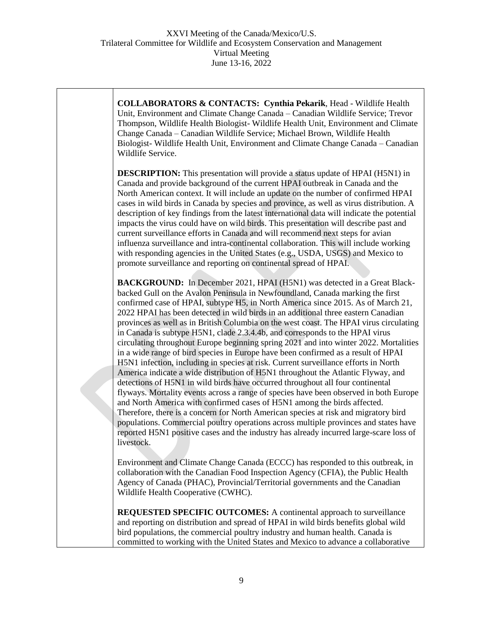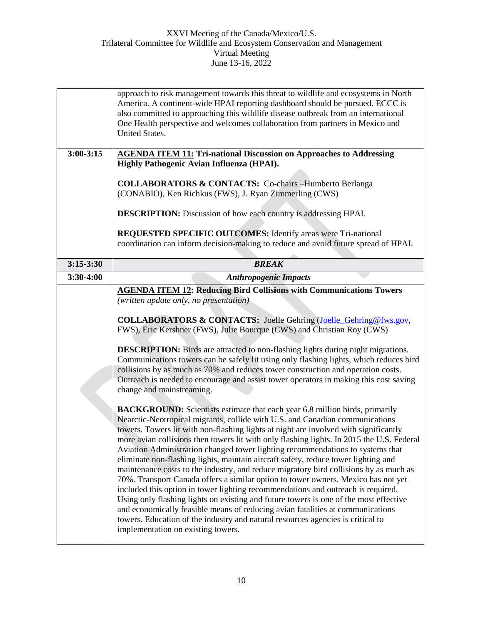|               | approach to risk management towards this threat to wildlife and ecosystems in North<br>America. A continent-wide HPAI reporting dashboard should be pursued. ECCC is                                                                                                                                                                                                                                                                                                                                                                                                                                                                                                                                                                                                                                                                                                                                                                                                                                                                                                                                  |
|---------------|-------------------------------------------------------------------------------------------------------------------------------------------------------------------------------------------------------------------------------------------------------------------------------------------------------------------------------------------------------------------------------------------------------------------------------------------------------------------------------------------------------------------------------------------------------------------------------------------------------------------------------------------------------------------------------------------------------------------------------------------------------------------------------------------------------------------------------------------------------------------------------------------------------------------------------------------------------------------------------------------------------------------------------------------------------------------------------------------------------|
|               | also committed to approaching this wildlife disease outbreak from an international<br>One Health perspective and welcomes collaboration from partners in Mexico and<br><b>United States.</b>                                                                                                                                                                                                                                                                                                                                                                                                                                                                                                                                                                                                                                                                                                                                                                                                                                                                                                          |
|               |                                                                                                                                                                                                                                                                                                                                                                                                                                                                                                                                                                                                                                                                                                                                                                                                                                                                                                                                                                                                                                                                                                       |
| $3:00 - 3:15$ | <b>AGENDA ITEM 11: Tri-national Discussion on Approaches to Addressing</b><br>Highly Pathogenic Avian Influenza (HPAI).                                                                                                                                                                                                                                                                                                                                                                                                                                                                                                                                                                                                                                                                                                                                                                                                                                                                                                                                                                               |
|               |                                                                                                                                                                                                                                                                                                                                                                                                                                                                                                                                                                                                                                                                                                                                                                                                                                                                                                                                                                                                                                                                                                       |
|               | <b>COLLABORATORS &amp; CONTACTS:</b> Co-chairs -Humberto Berlanga<br>(CONABIO), Ken Richkus (FWS), J. Ryan Zimmerling (CWS)                                                                                                                                                                                                                                                                                                                                                                                                                                                                                                                                                                                                                                                                                                                                                                                                                                                                                                                                                                           |
|               | <b>DESCRIPTION:</b> Discussion of how each country is addressing HPAI.                                                                                                                                                                                                                                                                                                                                                                                                                                                                                                                                                                                                                                                                                                                                                                                                                                                                                                                                                                                                                                |
|               | <b>REQUESTED SPECIFIC OUTCOMES:</b> Identify areas were Tri-national<br>coordination can inform decision-making to reduce and avoid future spread of HPAI.                                                                                                                                                                                                                                                                                                                                                                                                                                                                                                                                                                                                                                                                                                                                                                                                                                                                                                                                            |
| $3:15-3:30$   | <b>BREAK</b>                                                                                                                                                                                                                                                                                                                                                                                                                                                                                                                                                                                                                                                                                                                                                                                                                                                                                                                                                                                                                                                                                          |
| 3:30-4:00     | <b>Anthropogenic Impacts</b>                                                                                                                                                                                                                                                                                                                                                                                                                                                                                                                                                                                                                                                                                                                                                                                                                                                                                                                                                                                                                                                                          |
|               | <b>AGENDA ITEM 12: Reducing Bird Collisions with Communications Towers</b><br>(written update only, no presentation)<br><b>COLLABORATORS &amp; CONTACTS:</b> Joelle Gehring (Joelle Gehring@fws.gov,<br>FWS), Eric Kershner (FWS), Julie Bourque (CWS) and Christian Roy (CWS)                                                                                                                                                                                                                                                                                                                                                                                                                                                                                                                                                                                                                                                                                                                                                                                                                        |
|               | <b>DESCRIPTION:</b> Birds are attracted to non-flashing lights during night migrations.<br>Communications towers can be safely lit using only flashing lights, which reduces bird<br>collisions by as much as 70% and reduces tower construction and operation costs.<br>Outreach is needed to encourage and assist tower operators in making this cost saving<br>change and mainstreaming.                                                                                                                                                                                                                                                                                                                                                                                                                                                                                                                                                                                                                                                                                                           |
|               | <b>BACKGROUND:</b> Scientists estimate that each year 6.8 million birds, primarily<br>Nearctic-Neotropical migrants, collide with U.S. and Canadian communications<br>towers. Towers lit with non-flashing lights at night are involved with significantly<br>more avian collisions then towers lit with only flashing lights. In 2015 the U.S. Federal<br>Aviation Administration changed tower lighting recommendations to systems that<br>eliminate non-flashing lights, maintain aircraft safety, reduce tower lighting and<br>maintenance costs to the industry, and reduce migratory bird collisions by as much as<br>70%. Transport Canada offers a similar option to tower owners. Mexico has not yet<br>included this option in tower lighting recommendations and outreach is required.<br>Using only flashing lights on existing and future towers is one of the most effective<br>and economically feasible means of reducing avian fatalities at communications<br>towers. Education of the industry and natural resources agencies is critical to<br>implementation on existing towers. |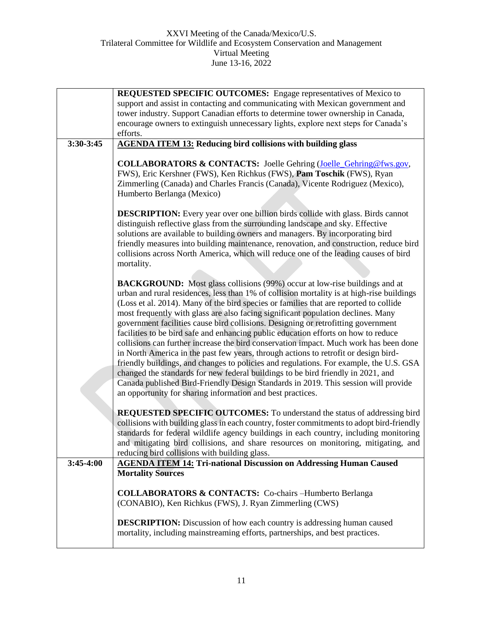|             | <b>REQUESTED SPECIFIC OUTCOMES:</b> Engage representatives of Mexico to                                                                                                                                                                                                                                                                                                                                                                                                                                                                                                                                                                                                                                                                                                                                                                                                                                                                                                                                                                                  |
|-------------|----------------------------------------------------------------------------------------------------------------------------------------------------------------------------------------------------------------------------------------------------------------------------------------------------------------------------------------------------------------------------------------------------------------------------------------------------------------------------------------------------------------------------------------------------------------------------------------------------------------------------------------------------------------------------------------------------------------------------------------------------------------------------------------------------------------------------------------------------------------------------------------------------------------------------------------------------------------------------------------------------------------------------------------------------------|
|             | support and assist in contacting and communicating with Mexican government and                                                                                                                                                                                                                                                                                                                                                                                                                                                                                                                                                                                                                                                                                                                                                                                                                                                                                                                                                                           |
|             | tower industry. Support Canadian efforts to determine tower ownership in Canada,                                                                                                                                                                                                                                                                                                                                                                                                                                                                                                                                                                                                                                                                                                                                                                                                                                                                                                                                                                         |
|             | encourage owners to extinguish unnecessary lights, explore next steps for Canada's                                                                                                                                                                                                                                                                                                                                                                                                                                                                                                                                                                                                                                                                                                                                                                                                                                                                                                                                                                       |
|             | efforts.                                                                                                                                                                                                                                                                                                                                                                                                                                                                                                                                                                                                                                                                                                                                                                                                                                                                                                                                                                                                                                                 |
| 3:30-3:45   | <b>AGENDA ITEM 13: Reducing bird collisions with building glass</b>                                                                                                                                                                                                                                                                                                                                                                                                                                                                                                                                                                                                                                                                                                                                                                                                                                                                                                                                                                                      |
|             | <b>COLLABORATORS &amp; CONTACTS:</b> Joelle Gehring (Joelle Gehring@fws.gov,<br>FWS), Eric Kershner (FWS), Ken Richkus (FWS), Pam Toschik (FWS), Ryan<br>Zimmerling (Canada) and Charles Francis (Canada), Vicente Rodriguez (Mexico),<br>Humberto Berlanga (Mexico)<br><b>DESCRIPTION:</b> Every year over one billion birds collide with glass. Birds cannot                                                                                                                                                                                                                                                                                                                                                                                                                                                                                                                                                                                                                                                                                           |
|             | distinguish reflective glass from the surrounding landscape and sky. Effective<br>solutions are available to building owners and managers. By incorporating bird<br>friendly measures into building maintenance, renovation, and construction, reduce bird<br>collisions across North America, which will reduce one of the leading causes of bird<br>mortality.                                                                                                                                                                                                                                                                                                                                                                                                                                                                                                                                                                                                                                                                                         |
|             | <b>BACKGROUND:</b> Most glass collisions (99%) occur at low-rise buildings and at<br>urban and rural residences, less than 1% of collision mortality is at high-rise buildings<br>(Loss et al. 2014). Many of the bird species or families that are reported to collide<br>most frequently with glass are also facing significant population declines. Many<br>government facilities cause bird collisions. Designing or retrofitting government<br>facilities to be bird safe and enhancing public education efforts on how to reduce<br>collisions can further increase the bird conservation impact. Much work has been done<br>in North America in the past few years, through actions to retrofit or design bird-<br>friendly buildings, and changes to policies and regulations. For example, the U.S. GSA<br>changed the standards for new federal buildings to be bird friendly in 2021, and<br>Canada published Bird-Friendly Design Standards in 2019. This session will provide<br>an opportunity for sharing information and best practices. |
|             | REQUESTED SPECIFIC OUTCOMES: To understand the status of addressing bird<br>collisions with building glass in each country, foster commitments to adopt bird-friendly<br>standards for federal wildlife agency buildings in each country, including monitoring<br>and mitigating bird collisions, and share resources on monitoring, mitigating, and<br>reducing bird collisions with building glass.                                                                                                                                                                                                                                                                                                                                                                                                                                                                                                                                                                                                                                                    |
| $3:45-4:00$ | <b>AGENDA ITEM 14: Tri-national Discussion on Addressing Human Caused</b>                                                                                                                                                                                                                                                                                                                                                                                                                                                                                                                                                                                                                                                                                                                                                                                                                                                                                                                                                                                |
|             | <b>Mortality Sources</b>                                                                                                                                                                                                                                                                                                                                                                                                                                                                                                                                                                                                                                                                                                                                                                                                                                                                                                                                                                                                                                 |
|             | <b>COLLABORATORS &amp; CONTACTS:</b> Co-chairs –Humberto Berlanga<br>(CONABIO), Ken Richkus (FWS), J. Ryan Zimmerling (CWS)                                                                                                                                                                                                                                                                                                                                                                                                                                                                                                                                                                                                                                                                                                                                                                                                                                                                                                                              |
|             | <b>DESCRIPTION:</b> Discussion of how each country is addressing human caused<br>mortality, including mainstreaming efforts, partnerships, and best practices.                                                                                                                                                                                                                                                                                                                                                                                                                                                                                                                                                                                                                                                                                                                                                                                                                                                                                           |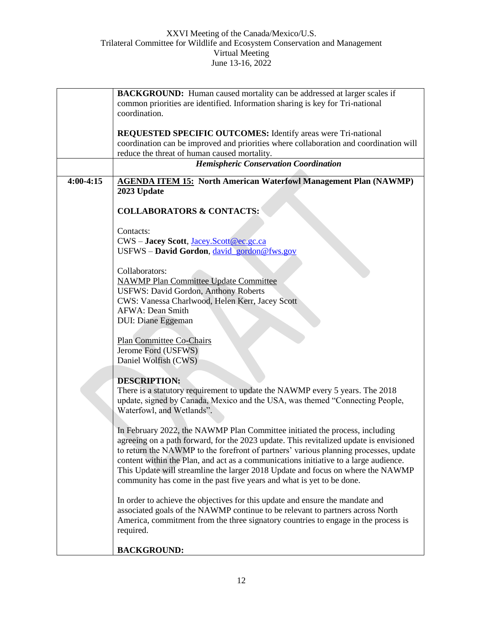|             | <b>BACKGROUND:</b> Human caused mortality can be addressed at larger scales if         |
|-------------|----------------------------------------------------------------------------------------|
|             | common priorities are identified. Information sharing is key for Tri-national          |
|             | coordination.                                                                          |
|             |                                                                                        |
|             | <b>REQUESTED SPECIFIC OUTCOMES:</b> Identify areas were Tri-national                   |
|             | coordination can be improved and priorities where collaboration and coordination will  |
|             | reduce the threat of human caused mortality.                                           |
|             | <b>Hemispheric Conservation Coordination</b>                                           |
| $4:00-4:15$ | <b>AGENDA ITEM 15: North American Waterfowl Management Plan (NAWMP)</b>                |
|             | 2023 Update                                                                            |
|             |                                                                                        |
|             | <b>COLLABORATORS &amp; CONTACTS:</b>                                                   |
|             |                                                                                        |
|             |                                                                                        |
|             | Contacts:                                                                              |
|             | CWS - Jacey Scott, Jacey.Scott@ec.gc.ca                                                |
|             | USFWS - David Gordon, david gordon@fws.gov                                             |
|             |                                                                                        |
|             | Collaborators:                                                                         |
|             | <b>NAWMP Plan Committee Update Committee</b>                                           |
|             | <b>USFWS: David Gordon, Anthony Roberts</b>                                            |
|             | CWS: Vanessa Charlwood, Helen Kerr, Jacey Scott                                        |
|             | <b>AFWA: Dean Smith</b>                                                                |
|             | DUI: Diane Eggeman                                                                     |
|             |                                                                                        |
|             | <b>Plan Committee Co-Chairs</b>                                                        |
|             | Jerome Ford (USFWS)                                                                    |
|             | Daniel Wolfish (CWS)                                                                   |
|             |                                                                                        |
|             | <b>DESCRIPTION:</b>                                                                    |
|             | There is a statutory requirement to update the NAWMP every 5 years. The 2018           |
|             | update, signed by Canada, Mexico and the USA, was themed "Connecting People,           |
|             |                                                                                        |
|             | Waterfowl, and Wetlands".                                                              |
|             |                                                                                        |
|             | In February 2022, the NAWMP Plan Committee initiated the process, including            |
|             | agreeing on a path forward, for the 2023 update. This revitalized update is envisioned |
|             | to return the NAWMP to the forefront of partners' various planning processes, update   |
|             | content within the Plan, and act as a communications initiative to a large audience.   |
|             | This Update will streamline the larger 2018 Update and focus on where the NAWMP        |
|             | community has come in the past five years and what is yet to be done.                  |
|             |                                                                                        |
|             | In order to achieve the objectives for this update and ensure the mandate and          |
|             | associated goals of the NAWMP continue to be relevant to partners across North         |
|             | America, commitment from the three signatory countries to engage in the process is     |
|             | required.                                                                              |
|             |                                                                                        |
|             | <b>BACKGROUND:</b>                                                                     |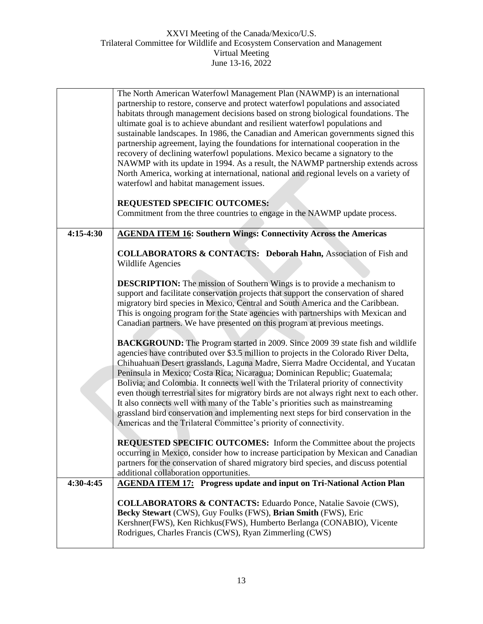|             | The North American Waterfowl Management Plan (NAWMP) is an international<br>partnership to restore, conserve and protect waterfowl populations and associated<br>habitats through management decisions based on strong biological foundations. The<br>ultimate goal is to achieve abundant and resilient waterfowl populations and<br>sustainable landscapes. In 1986, the Canadian and American governments signed this<br>partnership agreement, laying the foundations for international cooperation in the<br>recovery of declining waterfowl populations. Mexico became a signatory to the<br>NAWMP with its update in 1994. As a result, the NAWMP partnership extends across<br>North America, working at international, national and regional levels on a variety of<br>waterfowl and habitat management issues.<br><b>REQUESTED SPECIFIC OUTCOMES:</b><br>Commitment from the three countries to engage in the NAWMP update process. |
|-------------|-----------------------------------------------------------------------------------------------------------------------------------------------------------------------------------------------------------------------------------------------------------------------------------------------------------------------------------------------------------------------------------------------------------------------------------------------------------------------------------------------------------------------------------------------------------------------------------------------------------------------------------------------------------------------------------------------------------------------------------------------------------------------------------------------------------------------------------------------------------------------------------------------------------------------------------------------|
|             |                                                                                                                                                                                                                                                                                                                                                                                                                                                                                                                                                                                                                                                                                                                                                                                                                                                                                                                                               |
| $4:15-4:30$ | <b>AGENDA ITEM 16: Southern Wings: Connectivity Across the Americas</b>                                                                                                                                                                                                                                                                                                                                                                                                                                                                                                                                                                                                                                                                                                                                                                                                                                                                       |
|             | <b>COLLABORATORS &amp; CONTACTS: Deborah Hahn, Association of Fish and</b><br>Wildlife Agencies                                                                                                                                                                                                                                                                                                                                                                                                                                                                                                                                                                                                                                                                                                                                                                                                                                               |
|             | <b>DESCRIPTION:</b> The mission of Southern Wings is to provide a mechanism to<br>support and facilitate conservation projects that support the conservation of shared<br>migratory bird species in Mexico, Central and South America and the Caribbean.<br>This is ongoing program for the State agencies with partnerships with Mexican and<br>Canadian partners. We have presented on this program at previous meetings.                                                                                                                                                                                                                                                                                                                                                                                                                                                                                                                   |
|             | <b>BACKGROUND:</b> The Program started in 2009. Since 2009 39 state fish and wildlife<br>agencies have contributed over \$3.5 million to projects in the Colorado River Delta,<br>Chihuahuan Desert grasslands, Laguna Madre, Sierra Madre Occidental, and Yucatan<br>Peninsula in Mexico; Costa Rica; Nicaragua; Dominican Republic; Guatemala;<br>Bolivia; and Colombia. It connects well with the Trilateral priority of connectivity<br>even though terrestrial sites for migratory birds are not always right next to each other.<br>It also connects well with many of the Table's priorities such as mainstreaming<br>grassland bird conservation and implementing next steps for bird conservation in the<br>Americas and the Trilateral Committee's priority of connectivity.                                                                                                                                                        |
|             | <b>REQUESTED SPECIFIC OUTCOMES:</b> Inform the Committee about the projects<br>occurring in Mexico, consider how to increase participation by Mexican and Canadian<br>partners for the conservation of shared migratory bird species, and discuss potential<br>additional collaboration opportunities.                                                                                                                                                                                                                                                                                                                                                                                                                                                                                                                                                                                                                                        |
| 4:30-4:45   | <b>AGENDA ITEM 17: Progress update and input on Tri-National Action Plan</b>                                                                                                                                                                                                                                                                                                                                                                                                                                                                                                                                                                                                                                                                                                                                                                                                                                                                  |
|             | <b>COLLABORATORS &amp; CONTACTS:</b> Eduardo Ponce, Natalie Savoie (CWS),<br>Becky Stewart (CWS), Guy Foulks (FWS), Brian Smith (FWS), Eric<br>Kershner(FWS), Ken Richkus(FWS), Humberto Berlanga (CONABIO), Vicente<br>Rodrigues, Charles Francis (CWS), Ryan Zimmerling (CWS)                                                                                                                                                                                                                                                                                                                                                                                                                                                                                                                                                                                                                                                               |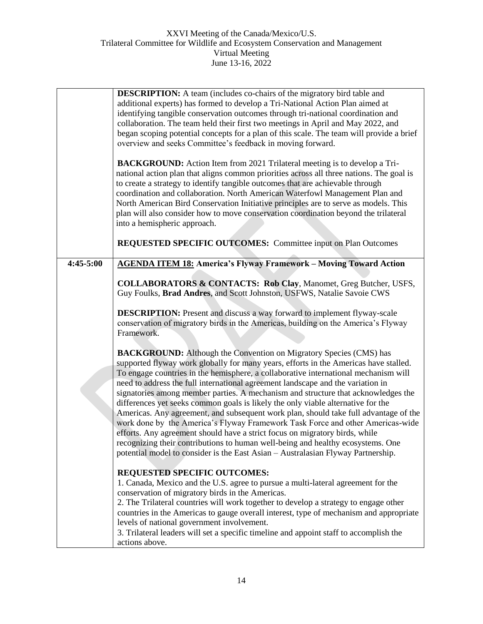|           | <b>DESCRIPTION:</b> A team (includes co-chairs of the migratory bird table and<br>additional experts) has formed to develop a Tri-National Action Plan aimed at<br>identifying tangible conservation outcomes through tri-national coordination and<br>collaboration. The team held their first two meetings in April and May 2022, and<br>began scoping potential concepts for a plan of this scale. The team will provide a brief<br>overview and seeks Committee's feedback in moving forward.<br><b>BACKGROUND:</b> Action Item from 2021 Trilateral meeting is to develop a Tri-                                                                                                          |
|-----------|------------------------------------------------------------------------------------------------------------------------------------------------------------------------------------------------------------------------------------------------------------------------------------------------------------------------------------------------------------------------------------------------------------------------------------------------------------------------------------------------------------------------------------------------------------------------------------------------------------------------------------------------------------------------------------------------|
|           | national action plan that aligns common priorities across all three nations. The goal is<br>to create a strategy to identify tangible outcomes that are achievable through<br>coordination and collaboration. North American Waterfowl Management Plan and<br>North American Bird Conservation Initiative principles are to serve as models. This<br>plan will also consider how to move conservation coordination beyond the trilateral<br>into a hemispheric approach.                                                                                                                                                                                                                       |
|           | <b>REQUESTED SPECIFIC OUTCOMES:</b> Committee input on Plan Outcomes                                                                                                                                                                                                                                                                                                                                                                                                                                                                                                                                                                                                                           |
| 4:45-5:00 | <b>AGENDA ITEM 18:</b> America's Flyway Framework - Moving Toward Action                                                                                                                                                                                                                                                                                                                                                                                                                                                                                                                                                                                                                       |
|           | <b>COLLABORATORS &amp; CONTACTS: Rob Clay, Manomet, Greg Butcher, USFS,</b><br>Guy Foulks, Brad Andres, and Scott Johnston, USFWS, Natalie Savoie CWS                                                                                                                                                                                                                                                                                                                                                                                                                                                                                                                                          |
|           | <b>DESCRIPTION:</b> Present and discuss a way forward to implement flyway-scale<br>conservation of migratory birds in the Americas, building on the America's Flyway<br>Framework.                                                                                                                                                                                                                                                                                                                                                                                                                                                                                                             |
|           | <b>BACKGROUND:</b> Although the Convention on Migratory Species (CMS) has<br>supported flyway work globally for many years, efforts in the Americas have stalled.<br>To engage countries in the hemisphere, a collaborative international mechanism will<br>need to address the full international agreement landscape and the variation in<br>signatories among member parties. A mechanism and structure that acknowledges the<br>differences yet seeks common goals is likely the only viable alternative for the<br>Americas. Any agreement, and subsequent work plan, should take full advantage of the<br>work done by the America's Flyway Framework Task Force and other Americas-wide |
|           | efforts. Any agreement should have a strict focus on migratory birds, while<br>recognizing their contributions to human well-being and healthy ecosystems. One<br>potential model to consider is the East Asian - Australasian Flyway Partnership.                                                                                                                                                                                                                                                                                                                                                                                                                                             |
|           | <b>REQUESTED SPECIFIC OUTCOMES:</b>                                                                                                                                                                                                                                                                                                                                                                                                                                                                                                                                                                                                                                                            |
|           | 1. Canada, Mexico and the U.S. agree to pursue a multi-lateral agreement for the<br>conservation of migratory birds in the Americas.                                                                                                                                                                                                                                                                                                                                                                                                                                                                                                                                                           |
|           | 2. The Trilateral countries will work together to develop a strategy to engage other<br>countries in the Americas to gauge overall interest, type of mechanism and appropriate<br>levels of national government involvement.                                                                                                                                                                                                                                                                                                                                                                                                                                                                   |
|           | 3. Trilateral leaders will set a specific timeline and appoint staff to accomplish the<br>actions above.                                                                                                                                                                                                                                                                                                                                                                                                                                                                                                                                                                                       |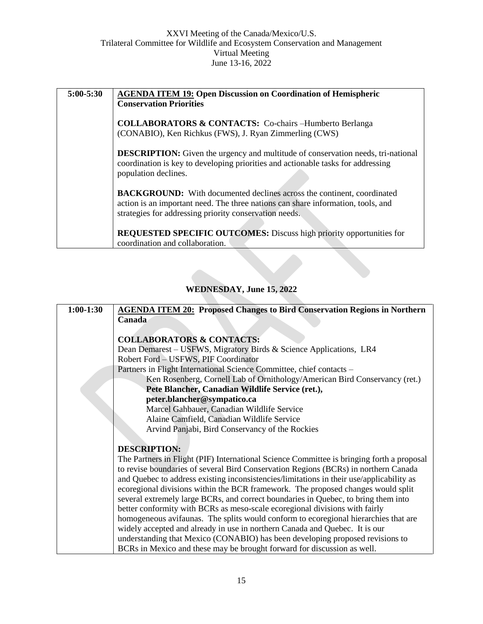| $5:00 - 5:30$ | <b>AGENDA ITEM 19: Open Discussion on Coordination of Hemispheric</b><br><b>Conservation Priorities</b>                                                                                                                     |
|---------------|-----------------------------------------------------------------------------------------------------------------------------------------------------------------------------------------------------------------------------|
|               | <b>COLLABORATORS &amp; CONTACTS:</b> Co-chairs –Humberto Berlanga<br>(CONABIO), Ken Richkus (FWS), J. Ryan Zimmerling (CWS)                                                                                                 |
|               | <b>DESCRIPTION:</b> Given the urgency and multitude of conservation needs, tri-national<br>coordination is key to developing priorities and actionable tasks for addressing<br>population declines.                         |
|               | <b>BACKGROUND:</b> With documented declines across the continent, coordinated<br>action is an important need. The three nations can share information, tools, and<br>strategies for addressing priority conservation needs. |
|               | REQUESTED SPECIFIC OUTCOMES: Discuss high priority opportunities for<br>coordination and collaboration.                                                                                                                     |

# **WEDNESDAY, June 15, 2022**

| $1:00-1:30$ | <b>AGENDA ITEM 20: Proposed Changes to Bird Conservation Regions in Northern</b>          |
|-------------|-------------------------------------------------------------------------------------------|
|             | Canada                                                                                    |
|             |                                                                                           |
|             | <b>COLLABORATORS &amp; CONTACTS:</b>                                                      |
|             | Dean Demarest – USFWS, Migratory Birds & Science Applications, LR4                        |
|             | Robert Ford - USFWS, PIF Coordinator                                                      |
|             | Partners in Flight International Science Committee, chief contacts -                      |
|             | Ken Rosenberg, Cornell Lab of Ornithology/American Bird Conservancy (ret.)                |
|             | Pete Blancher, Canadian Wildlife Service (ret.),                                          |
|             | peter.blancher@sympatico.ca                                                               |
|             | Marcel Gahbauer, Canadian Wildlife Service                                                |
|             | Alaine Camfield, Canadian Wildlife Service                                                |
|             | Arvind Panjabi, Bird Conservancy of the Rockies                                           |
|             |                                                                                           |
|             | <b>DESCRIPTION:</b>                                                                       |
|             | The Partners in Flight (PIF) International Science Committee is bringing forth a proposal |
|             | to revise boundaries of several Bird Conservation Regions (BCRs) in northern Canada       |
|             | and Quebec to address existing inconsistencies/limitations in their use/applicability as  |
|             | ecoregional divisions within the BCR framework. The proposed changes would split          |
|             | several extremely large BCRs, and correct boundaries in Quebec, to bring them into        |
|             | better conformity with BCRs as meso-scale ecoregional divisions with fairly               |
|             | homogeneous avifaunas. The splits would conform to ecoregional hierarchies that are       |
|             | widely accepted and already in use in northern Canada and Quebec. It is our               |
|             | understanding that Mexico (CONABIO) has been developing proposed revisions to             |
|             | BCRs in Mexico and these may be brought forward for discussion as well.                   |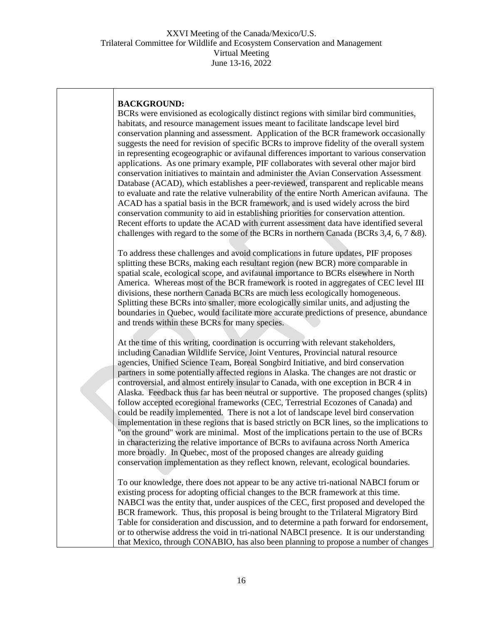#### **BACKGROUND:**

BCRs were envisioned as ecologically distinct regions with similar bird communities, habitats, and resource management issues meant to facilitate landscape level bird conservation planning and assessment. Application of the BCR framework occasionally suggests the need for revision of specific BCRs to improve fidelity of the overall system in representing ecogeographic or avifaunal differences important to various conservation applications. As one primary example, PIF collaborates with several other major bird conservation initiatives to maintain and administer the Avian Conservation Assessment Database (ACAD), which establishes a peer-reviewed, transparent and replicable means to evaluate and rate the relative vulnerability of the entire North American avifauna. The ACAD has a spatial basis in the BCR framework, and is used widely across the bird conservation community to aid in establishing priorities for conservation attention. Recent efforts to update the ACAD with current assessment data have identified several challenges with regard to the some of the BCRs in northern Canada (BCRs 3,4, 6, 7 &8).

To address these challenges and avoid complications in future updates, PIF proposes splitting these BCRs, making each resultant region (new BCR) more comparable in spatial scale, ecological scope, and avifaunal importance to BCRs elsewhere in North America. Whereas most of the BCR framework is rooted in aggregates of CEC level III divisions, these northern Canada BCRs are much less ecologically homogeneous. Splitting these BCRs into smaller, more ecologically similar units, and adjusting the boundaries in Quebec, would facilitate more accurate predictions of presence, abundance and trends within these BCRs for many species.

At the time of this writing, coordination is occurring with relevant stakeholders, including Canadian Wildlife Service, Joint Ventures, Provincial natural resource agencies, Unified Science Team, Boreal Songbird Initiative, and bird conservation partners in some potentially affected regions in Alaska. The changes are not drastic or controversial, and almost entirely insular to Canada, with one exception in BCR 4 in Alaska. Feedback thus far has been neutral or supportive. The proposed changes (splits) follow accepted ecoregional frameworks (CEC, Terrestrial Ecozones of Canada) and could be readily implemented. There is not a lot of landscape level bird conservation implementation in these regions that is based strictly on BCR lines, so the implications to "on the ground" work are minimal. Most of the implications pertain to the use of BCRs in characterizing the relative importance of BCRs to avifauna across North America more broadly. In Quebec, most of the proposed changes are already guiding conservation implementation as they reflect known, relevant, ecological boundaries.

To our knowledge, there does not appear to be any active tri-national NABCI forum or existing process for adopting official changes to the BCR framework at this time. NABCI was the entity that, under auspices of the CEC, first proposed and developed the BCR framework. Thus, this proposal is being brought to the Trilateral Migratory Bird Table for consideration and discussion, and to determine a path forward for endorsement, or to otherwise address the void in tri-national NABCI presence. It is our understanding that Mexico, through CONABIO, has also been planning to propose a number of changes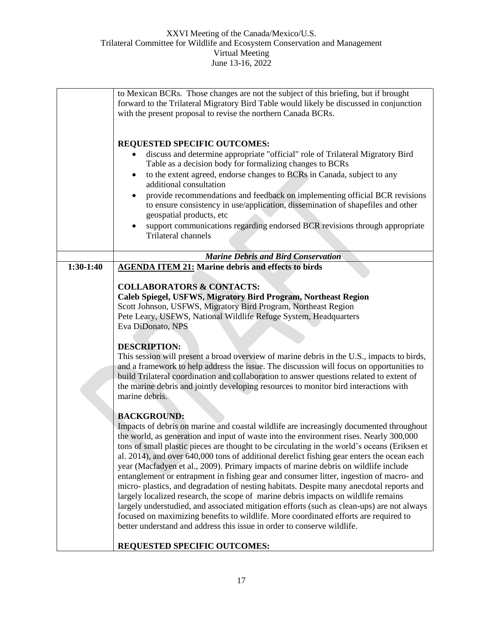|             | to Mexican BCRs. Those changes are not the subject of this briefing, but if brought<br>forward to the Trilateral Migratory Bird Table would likely be discussed in conjunction                                                                                                                                                                                                                                                                                                                                                                                                                                                                                                                                                                                                                                                                                                                                                                                                                                                            |
|-------------|-------------------------------------------------------------------------------------------------------------------------------------------------------------------------------------------------------------------------------------------------------------------------------------------------------------------------------------------------------------------------------------------------------------------------------------------------------------------------------------------------------------------------------------------------------------------------------------------------------------------------------------------------------------------------------------------------------------------------------------------------------------------------------------------------------------------------------------------------------------------------------------------------------------------------------------------------------------------------------------------------------------------------------------------|
|             | with the present proposal to revise the northern Canada BCRs.                                                                                                                                                                                                                                                                                                                                                                                                                                                                                                                                                                                                                                                                                                                                                                                                                                                                                                                                                                             |
|             | <b>REQUESTED SPECIFIC OUTCOMES:</b><br>discuss and determine appropriate "official" role of Trilateral Migratory Bird<br>Table as a decision body for formalizing changes to BCRs<br>to the extent agreed, endorse changes to BCRs in Canada, subject to any<br>٠<br>additional consultation<br>provide recommendations and feedback on implementing official BCR revisions<br>to ensure consistency in use/application, dissemination of shapefiles and other<br>geospatial products, etc<br>support communications regarding endorsed BCR revisions through appropriate<br><b>Trilateral channels</b>                                                                                                                                                                                                                                                                                                                                                                                                                                   |
|             | <b>Marine Debris and Bird Conservation</b>                                                                                                                                                                                                                                                                                                                                                                                                                                                                                                                                                                                                                                                                                                                                                                                                                                                                                                                                                                                                |
| $1:30-1:40$ | <b>AGENDA ITEM 21: Marine debris and effects to birds</b>                                                                                                                                                                                                                                                                                                                                                                                                                                                                                                                                                                                                                                                                                                                                                                                                                                                                                                                                                                                 |
|             | <b>COLLABORATORS &amp; CONTACTS:</b><br>Caleb Spiegel, USFWS, Migratory Bird Program, Northeast Region<br>Scott Johnson, USFWS, Migratory Bird Program, Northeast Region<br>Pete Leary, USFWS, National Wildlife Refuge System, Headquarters<br>Eva DiDonato, NPS<br><b>DESCRIPTION:</b><br>This session will present a broad overview of marine debris in the U.S., impacts to birds,<br>and a framework to help address the issue. The discussion will focus on opportunities to<br>build Trilateral coordination and collaboration to answer questions related to extent of<br>the marine debris and jointly developing resources to monitor bird interactions with<br>marine debris.                                                                                                                                                                                                                                                                                                                                                  |
|             | <b>BACKGROUND:</b><br>Impacts of debris on marine and coastal wildlife are increasingly documented throughout<br>the world, as generation and input of waste into the environment rises. Nearly 300,000<br>tons of small plastic pieces are thought to be circulating in the world's oceans (Eriksen et<br>al. 2014), and over 640,000 tons of additional derelict fishing gear enters the ocean each<br>year (Macfadyen et al., 2009). Primary impacts of marine debris on wildlife include<br>entanglement or entrapment in fishing gear and consumer litter, ingestion of macro- and<br>micro-plastics, and degradation of nesting habitats. Despite many anecdotal reports and<br>largely localized research, the scope of marine debris impacts on wildlife remains<br>largely understudied, and associated mitigation efforts (such as clean-ups) are not always<br>focused on maximizing benefits to wildlife. More coordinated efforts are required to<br>better understand and address this issue in order to conserve wildlife. |
|             | REQUESTED SPECIFIC OUTCOMES:                                                                                                                                                                                                                                                                                                                                                                                                                                                                                                                                                                                                                                                                                                                                                                                                                                                                                                                                                                                                              |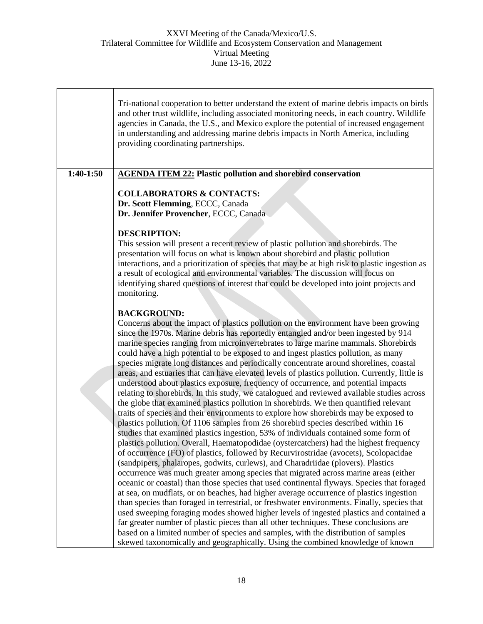|           | Tri-national cooperation to better understand the extent of marine debris impacts on birds<br>and other trust wildlife, including associated monitoring needs, in each country. Wildlife<br>agencies in Canada, the U.S., and Mexico explore the potential of increased engagement<br>in understanding and addressing marine debris impacts in North America, including<br>providing coordinating partnerships.                                                                                                                                                                                                                                                                                                                                                                                                                                                                                                                                                                                                                                                                                                                                                                                                                                                                                                                                                                                                                                                                                                                                                                                                                                                                                                                                                                                                                                                                                                                                                                                                                                                                                                                             |
|-----------|---------------------------------------------------------------------------------------------------------------------------------------------------------------------------------------------------------------------------------------------------------------------------------------------------------------------------------------------------------------------------------------------------------------------------------------------------------------------------------------------------------------------------------------------------------------------------------------------------------------------------------------------------------------------------------------------------------------------------------------------------------------------------------------------------------------------------------------------------------------------------------------------------------------------------------------------------------------------------------------------------------------------------------------------------------------------------------------------------------------------------------------------------------------------------------------------------------------------------------------------------------------------------------------------------------------------------------------------------------------------------------------------------------------------------------------------------------------------------------------------------------------------------------------------------------------------------------------------------------------------------------------------------------------------------------------------------------------------------------------------------------------------------------------------------------------------------------------------------------------------------------------------------------------------------------------------------------------------------------------------------------------------------------------------------------------------------------------------------------------------------------------------|
| 1:40-1:50 | <b>AGENDA ITEM 22: Plastic pollution and shorebird conservation</b>                                                                                                                                                                                                                                                                                                                                                                                                                                                                                                                                                                                                                                                                                                                                                                                                                                                                                                                                                                                                                                                                                                                                                                                                                                                                                                                                                                                                                                                                                                                                                                                                                                                                                                                                                                                                                                                                                                                                                                                                                                                                         |
|           | <b>COLLABORATORS &amp; CONTACTS:</b><br>Dr. Scott Flemming, ECCC, Canada<br>Dr. Jennifer Provencher, ECCC, Canada<br><b>DESCRIPTION:</b>                                                                                                                                                                                                                                                                                                                                                                                                                                                                                                                                                                                                                                                                                                                                                                                                                                                                                                                                                                                                                                                                                                                                                                                                                                                                                                                                                                                                                                                                                                                                                                                                                                                                                                                                                                                                                                                                                                                                                                                                    |
|           | This session will present a recent review of plastic pollution and shorebirds. The<br>presentation will focus on what is known about shorebird and plastic pollution<br>interactions, and a prioritization of species that may be at high risk to plastic ingestion as<br>a result of ecological and environmental variables. The discussion will focus on<br>identifying shared questions of interest that could be developed into joint projects and<br>monitoring.                                                                                                                                                                                                                                                                                                                                                                                                                                                                                                                                                                                                                                                                                                                                                                                                                                                                                                                                                                                                                                                                                                                                                                                                                                                                                                                                                                                                                                                                                                                                                                                                                                                                       |
|           | <b>BACKGROUND:</b><br>Concerns about the impact of plastics pollution on the environment have been growing<br>since the 1970s. Marine debris has reportedly entangled and/or been ingested by 914<br>marine species ranging from microinvertebrates to large marine mammals. Shorebirds<br>could have a high potential to be exposed to and ingest plastics pollution, as many<br>species migrate long distances and periodically concentrate around shorelines, coastal<br>areas, and estuaries that can have elevated levels of plastics pollution. Currently, little is<br>understood about plastics exposure, frequency of occurrence, and potential impacts<br>relating to shorebirds. In this study, we catalogued and reviewed available studies across<br>the globe that examined plastics pollution in shorebirds. We then quantified relevant<br>traits of species and their environments to explore how shorebirds may be exposed to<br>plastics pollution. Of 1106 samples from 26 shorebird species described within 16<br>studies that examined plastics ingestion, 53% of individuals contained some form of<br>plastics pollution. Overall, Haematopodidae (oystercatchers) had the highest frequency<br>of occurrence (FO) of plastics, followed by Recurvirostridae (avocets), Scolopacidae<br>(sandpipers, phalaropes, godwits, curlews), and Charadriidae (plovers). Plastics<br>occurrence was much greater among species that migrated across marine areas (either<br>oceanic or coastal) than those species that used continental flyways. Species that foraged<br>at sea, on mudflats, or on beaches, had higher average occurrence of plastics ingestion<br>than species than foraged in terrestrial, or freshwater environments. Finally, species that<br>used sweeping foraging modes showed higher levels of ingested plastics and contained a<br>far greater number of plastic pieces than all other techniques. These conclusions are<br>based on a limited number of species and samples, with the distribution of samples<br>skewed taxonomically and geographically. Using the combined knowledge of known |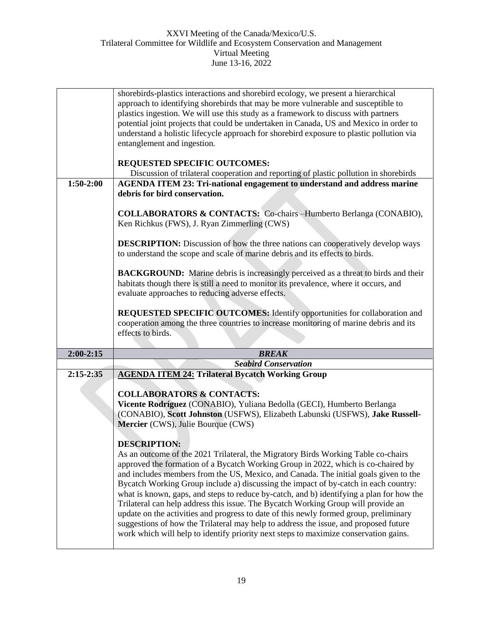|               | shorebirds-plastics interactions and shorebird ecology, we present a hierarchical                                  |
|---------------|--------------------------------------------------------------------------------------------------------------------|
|               | approach to identifying shorebirds that may be more vulnerable and susceptible to                                  |
|               | plastics ingestion. We will use this study as a framework to discuss with partners                                 |
|               | potential joint projects that could be undertaken in Canada, US and Mexico in order to                             |
|               | understand a holistic lifecycle approach for shorebird exposure to plastic pollution via                           |
|               | entanglement and ingestion.                                                                                        |
|               |                                                                                                                    |
|               | REQUESTED SPECIFIC OUTCOMES:                                                                                       |
|               | Discussion of trilateral cooperation and reporting of plastic pollution in shorebirds                              |
| $1:50-2:00$   | <b>AGENDA ITEM 23: Tri-national engagement to understand and address marine</b>                                    |
|               | debris for bird conservation.                                                                                      |
|               |                                                                                                                    |
|               |                                                                                                                    |
|               | <b>COLLABORATORS &amp; CONTACTS:</b> Co-chairs -Humberto Berlanga (CONABIO),                                       |
|               | Ken Richkus (FWS), J. Ryan Zimmerling (CWS)                                                                        |
|               |                                                                                                                    |
|               | <b>DESCRIPTION:</b> Discussion of how the three nations can cooperatively develop ways                             |
|               | to understand the scope and scale of marine debris and its effects to birds.                                       |
|               |                                                                                                                    |
|               | <b>BACKGROUND:</b> Marine debris is increasingly perceived as a threat to birds and their                          |
|               | habitats though there is still a need to monitor its prevalence, where it occurs, and                              |
|               | evaluate approaches to reducing adverse effects.                                                                   |
|               |                                                                                                                    |
|               | REQUESTED SPECIFIC OUTCOMES: Identify opportunities for collaboration and                                          |
|               |                                                                                                                    |
|               | cooperation among the three countries to increase monitoring of marine debris and its                              |
|               | effects to birds.                                                                                                  |
|               |                                                                                                                    |
| $2:00-2:15$   | <b>BREAK</b>                                                                                                       |
|               | <b>Seabird Conservation</b>                                                                                        |
| $2:15 - 2:35$ | <b>AGENDA ITEM 24: Trilateral Bycatch Working Group</b>                                                            |
|               |                                                                                                                    |
|               | <b>COLLABORATORS &amp; CONTACTS:</b>                                                                               |
|               | Vicente Rodríguez (CONABIO), Yuliana Bedolla (GECI), Humberto Berlanga                                             |
|               |                                                                                                                    |
|               | (CONABIO), Scott Johnston (USFWS), Elizabeth Labunski (USFWS), Jake Russell-<br>Mercier (CWS), Julie Bourque (CWS) |
|               |                                                                                                                    |
|               |                                                                                                                    |
|               | <b>DESCRIPTION:</b>                                                                                                |
|               | As an outcome of the 2021 Trilateral, the Migratory Birds Working Table co-chairs                                  |
|               | approved the formation of a Bycatch Working Group in 2022, which is co-chaired by                                  |
|               | and includes members from the US, Mexico, and Canada. The initial goals given to the                               |
|               | Bycatch Working Group include a) discussing the impact of by-catch in each country:                                |
|               | what is known, gaps, and steps to reduce by-catch, and b) identifying a plan for how the                           |
|               | Trilateral can help address this issue. The Bycatch Working Group will provide an                                  |
|               | update on the activities and progress to date of this newly formed group, preliminary                              |
|               | suggestions of how the Trilateral may help to address the issue, and proposed future                               |
|               | work which will help to identify priority next steps to maximize conservation gains.                               |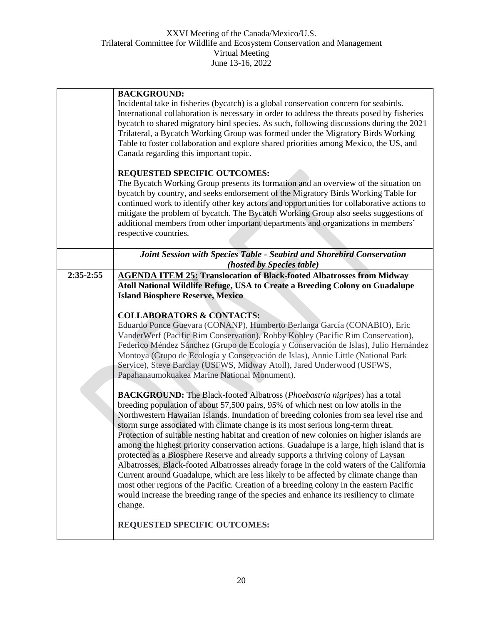|             | <b>BACKGROUND:</b><br>Incidental take in fisheries (bycatch) is a global conservation concern for seabirds.<br>International collaboration is necessary in order to address the threats posed by fisheries<br>bycatch to shared migratory bird species. As such, following discussions during the 2021<br>Trilateral, a Bycatch Working Group was formed under the Migratory Birds Working<br>Table to foster collaboration and explore shared priorities among Mexico, the US, and<br>Canada regarding this important topic.<br>REQUESTED SPECIFIC OUTCOMES:<br>The Bycatch Working Group presents its formation and an overview of the situation on<br>bycatch by country, and seeks endorsement of the Migratory Birds Working Table for<br>continued work to identify other key actors and opportunities for collaborative actions to<br>mitigate the problem of bycatch. The Bycatch Working Group also seeks suggestions of<br>additional members from other important departments and organizations in members'<br>respective countries.                                                                                                                                                                                                                                                                                                                                                                                                                                                                                                                                                                                                                                                                                                                                          |
|-------------|------------------------------------------------------------------------------------------------------------------------------------------------------------------------------------------------------------------------------------------------------------------------------------------------------------------------------------------------------------------------------------------------------------------------------------------------------------------------------------------------------------------------------------------------------------------------------------------------------------------------------------------------------------------------------------------------------------------------------------------------------------------------------------------------------------------------------------------------------------------------------------------------------------------------------------------------------------------------------------------------------------------------------------------------------------------------------------------------------------------------------------------------------------------------------------------------------------------------------------------------------------------------------------------------------------------------------------------------------------------------------------------------------------------------------------------------------------------------------------------------------------------------------------------------------------------------------------------------------------------------------------------------------------------------------------------------------------------------------------------------------------------------------------------|
|             | Joint Session with Species Table - Seabird and Shorebird Conservation<br>(hosted by Species table)                                                                                                                                                                                                                                                                                                                                                                                                                                                                                                                                                                                                                                                                                                                                                                                                                                                                                                                                                                                                                                                                                                                                                                                                                                                                                                                                                                                                                                                                                                                                                                                                                                                                                       |
| $2:35-2:55$ | <b>AGENDA ITEM 25: Translocation of Black-footed Albatrosses from Midway</b><br>Atoll National Wildlife Refuge, USA to Create a Breeding Colony on Guadalupe<br><b>Island Biosphere Reserve, Mexico</b><br><b>COLLABORATORS &amp; CONTACTS:</b><br>Eduardo Ponce Guevara (CONANP), Humberto Berlanga García (CONABIO), Eric<br>VanderWerf (Pacific Rim Conservation), Robby Kohley (Pacific Rim Conservation),<br>Federico Méndez Sánchez (Grupo de Ecología y Conservación de Islas), Julio Hernández<br>Montoya (Grupo de Ecología y Conservación de Islas), Annie Little (National Park<br>Service), Steve Barclay (USFWS, Midway Atoll), Jared Underwood (USFWS,<br>Papahanaumokuakea Marine National Monument).<br><b>BACKGROUND:</b> The Black-footed Albatross (Phoebastria nigripes) has a total<br>breeding population of about 57,500 pairs, 95% of which nest on low atolls in the<br>Northwestern Hawaiian Islands. Inundation of breeding colonies from sea level rise and<br>storm surge associated with climate change is its most serious long-term threat.<br>Protection of suitable nesting habitat and creation of new colonies on higher islands are<br>among the highest priority conservation actions. Guadalupe is a large, high island that is<br>protected as a Biosphere Reserve and already supports a thriving colony of Laysan<br>Albatrosses. Black-footed Albatrosses already forage in the cold waters of the California<br>Current around Guadalupe, which are less likely to be affected by climate change than<br>most other regions of the Pacific. Creation of a breeding colony in the eastern Pacific<br>would increase the breeding range of the species and enhance its resiliency to climate<br>change.<br><b>REQUESTED SPECIFIC OUTCOMES:</b> |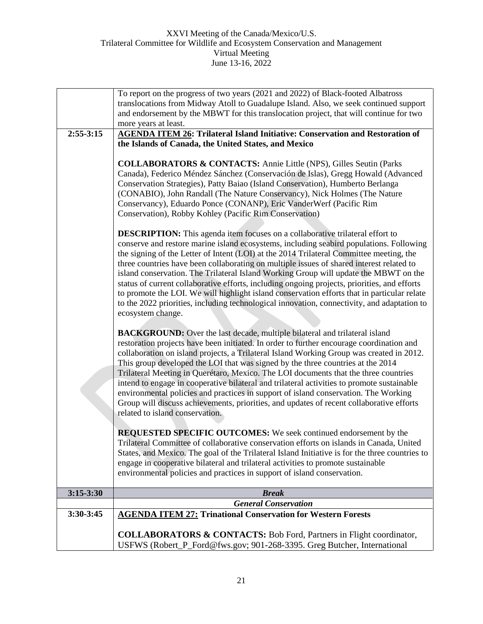|             | To report on the progress of two years (2021 and 2022) of Black-footed Albatross                                                                                                                                                                                                                                                                                                                                                                                                                                                                                                                                                                                                                                                                                                  |
|-------------|-----------------------------------------------------------------------------------------------------------------------------------------------------------------------------------------------------------------------------------------------------------------------------------------------------------------------------------------------------------------------------------------------------------------------------------------------------------------------------------------------------------------------------------------------------------------------------------------------------------------------------------------------------------------------------------------------------------------------------------------------------------------------------------|
|             | translocations from Midway Atoll to Guadalupe Island. Also, we seek continued support                                                                                                                                                                                                                                                                                                                                                                                                                                                                                                                                                                                                                                                                                             |
|             | and endorsement by the MBWT for this translocation project, that will continue for two                                                                                                                                                                                                                                                                                                                                                                                                                                                                                                                                                                                                                                                                                            |
|             | more years at least.                                                                                                                                                                                                                                                                                                                                                                                                                                                                                                                                                                                                                                                                                                                                                              |
| $2:55-3:15$ | <b>AGENDA ITEM 26: Trilateral Island Initiative: Conservation and Restoration of</b>                                                                                                                                                                                                                                                                                                                                                                                                                                                                                                                                                                                                                                                                                              |
|             | the Islands of Canada, the United States, and Mexico                                                                                                                                                                                                                                                                                                                                                                                                                                                                                                                                                                                                                                                                                                                              |
|             |                                                                                                                                                                                                                                                                                                                                                                                                                                                                                                                                                                                                                                                                                                                                                                                   |
|             | <b>COLLABORATORS &amp; CONTACTS:</b> Annie Little (NPS), Gilles Seutin (Parks<br>Canada), Federico Méndez Sánchez (Conservación de Islas), Gregg Howald (Advanced<br>Conservation Strategies), Patty Baiao (Island Conservation), Humberto Berlanga<br>(CONABIO), John Randall (The Nature Conservancy), Nick Holmes (The Nature<br>Conservancy), Eduardo Ponce (CONANP), Eric VanderWerf (Pacific Rim<br>Conservation), Robby Kohley (Pacific Rim Conservation)                                                                                                                                                                                                                                                                                                                  |
|             |                                                                                                                                                                                                                                                                                                                                                                                                                                                                                                                                                                                                                                                                                                                                                                                   |
|             | <b>DESCRIPTION:</b> This agenda item focuses on a collaborative trilateral effort to<br>conserve and restore marine island ecosystems, including seabird populations. Following<br>the signing of the Letter of Intent (LOI) at the 2014 Trilateral Committee meeting, the<br>three countries have been collaborating on multiple issues of shared interest related to<br>island conservation. The Trilateral Island Working Group will update the MBWT on the<br>status of current collaborative efforts, including ongoing projects, priorities, and efforts<br>to promote the LOI. We will highlight island conservation efforts that in particular relate<br>to the 2022 priorities, including technological innovation, connectivity, and adaptation to<br>ecosystem change. |
|             | <b>BACKGROUND:</b> Over the last decade, multiple bilateral and trilateral island<br>restoration projects have been initiated. In order to further encourage coordination and<br>collaboration on island projects, a Trilateral Island Working Group was created in 2012.<br>This group developed the LOI that was signed by the three countries at the 2014<br>Trilateral Meeting in Querétaro, Mexico. The LOI documents that the three countries<br>intend to engage in cooperative bilateral and trilateral activities to promote sustainable<br>environmental policies and practices in support of island conservation. The Working<br>Group will discuss achievements, priorities, and updates of recent collaborative efforts<br>related to island conservation.           |
|             | REQUESTED SPECIFIC OUTCOMES: We seek continued endorsement by the<br>Trilateral Committee of collaborative conservation efforts on islands in Canada, United<br>States, and Mexico. The goal of the Trilateral Island Initiative is for the three countries to<br>engage in cooperative bilateral and trilateral activities to promote sustainable<br>environmental policies and practices in support of island conservation.                                                                                                                                                                                                                                                                                                                                                     |
| $3:15-3:30$ | <b>Break</b>                                                                                                                                                                                                                                                                                                                                                                                                                                                                                                                                                                                                                                                                                                                                                                      |
|             | <b>General Conservation</b>                                                                                                                                                                                                                                                                                                                                                                                                                                                                                                                                                                                                                                                                                                                                                       |
| $3:30-3:45$ | <b>AGENDA ITEM 27: Trinational Conservation for Western Forests</b>                                                                                                                                                                                                                                                                                                                                                                                                                                                                                                                                                                                                                                                                                                               |
|             |                                                                                                                                                                                                                                                                                                                                                                                                                                                                                                                                                                                                                                                                                                                                                                                   |
|             | <b>COLLABORATORS &amp; CONTACTS:</b> Bob Ford, Partners in Flight coordinator,<br>USFWS (Robert_P_Ford@fws.gov; 901-268-3395. Greg Butcher, International                                                                                                                                                                                                                                                                                                                                                                                                                                                                                                                                                                                                                         |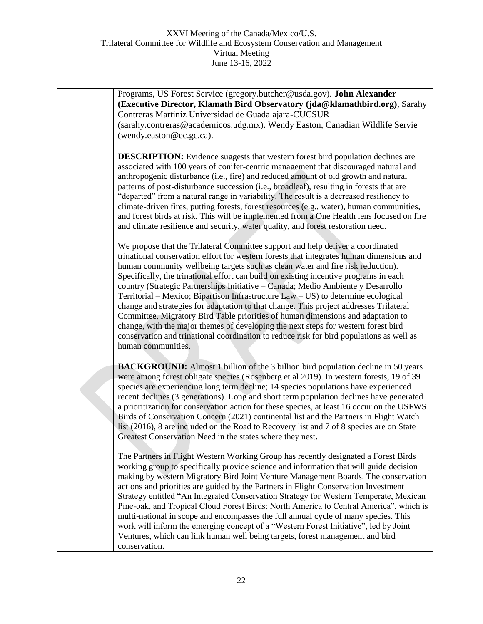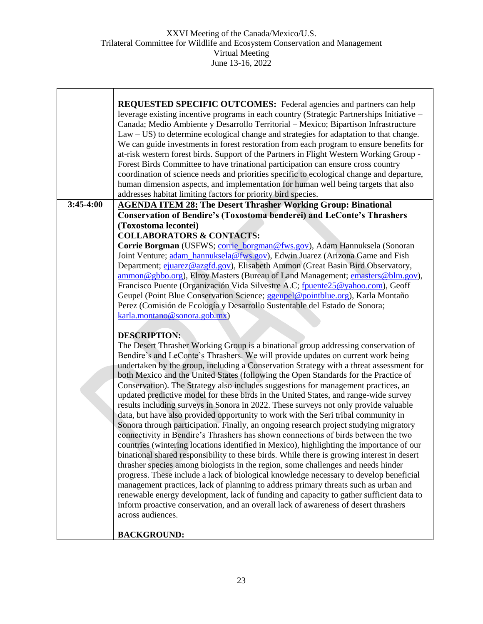|             | <b>REQUESTED SPECIFIC OUTCOMES:</b> Federal agencies and partners can help<br>leverage existing incentive programs in each country (Strategic Partnerships Initiative –<br>Canada; Medio Ambiente y Desarrollo Territorial - Mexico; Bipartison Infrastructure<br>Law - US) to determine ecological change and strategies for adaptation to that change.<br>We can guide investments in forest restoration from each program to ensure benefits for<br>at-risk western forest birds. Support of the Partners in Flight Western Working Group -<br>Forest Birds Committee to have trinational participation can ensure cross country<br>coordination of science needs and priorities specific to ecological change and departure,<br>human dimension aspects, and implementation for human well being targets that also<br>addresses habitat limiting factors for priority bird species. |
|-------------|-----------------------------------------------------------------------------------------------------------------------------------------------------------------------------------------------------------------------------------------------------------------------------------------------------------------------------------------------------------------------------------------------------------------------------------------------------------------------------------------------------------------------------------------------------------------------------------------------------------------------------------------------------------------------------------------------------------------------------------------------------------------------------------------------------------------------------------------------------------------------------------------|
| $3:45-4:00$ | <b>AGENDA ITEM 28: The Desert Thrasher Working Group: Binational</b>                                                                                                                                                                                                                                                                                                                                                                                                                                                                                                                                                                                                                                                                                                                                                                                                                    |
|             | <b>Conservation of Bendire's (Toxostoma benderei) and LeConte's Thrashers</b><br>(Toxostoma lecontei)                                                                                                                                                                                                                                                                                                                                                                                                                                                                                                                                                                                                                                                                                                                                                                                   |
|             | <b>COLLABORATORS &amp; CONTACTS:</b>                                                                                                                                                                                                                                                                                                                                                                                                                                                                                                                                                                                                                                                                                                                                                                                                                                                    |
|             | Corrie Borgman (USFWS; corrie_borgman@fws.gov), Adam Hannuksela (Sonoran                                                                                                                                                                                                                                                                                                                                                                                                                                                                                                                                                                                                                                                                                                                                                                                                                |
|             | Joint Venture; adam_hannuksela@fws.gov), Edwin Juarez (Arizona Game and Fish<br>Department; ejuarez@azgfd.gov), Elisabeth Ammon (Great Basin Bird Observatory,                                                                                                                                                                                                                                                                                                                                                                                                                                                                                                                                                                                                                                                                                                                          |
|             | ammon@gbbo.org), Elroy Masters (Bureau of Land Management; emasters@blm.gov),                                                                                                                                                                                                                                                                                                                                                                                                                                                                                                                                                                                                                                                                                                                                                                                                           |
|             | Francisco Puente (Organización Vida Silvestre A.C; fpuente25@yahoo.com), Geoff                                                                                                                                                                                                                                                                                                                                                                                                                                                                                                                                                                                                                                                                                                                                                                                                          |
|             | Geupel (Point Blue Conservation Science; ggeupel@pointblue.org), Karla Montaño<br>Perez (Comisión de Ecología y Desarrollo Sustentable del Estado de Sonora;                                                                                                                                                                                                                                                                                                                                                                                                                                                                                                                                                                                                                                                                                                                            |
|             | karla.montano@sonora.gob.mx)                                                                                                                                                                                                                                                                                                                                                                                                                                                                                                                                                                                                                                                                                                                                                                                                                                                            |
|             | <b>DESCRIPTION:</b>                                                                                                                                                                                                                                                                                                                                                                                                                                                                                                                                                                                                                                                                                                                                                                                                                                                                     |
|             | The Desert Thrasher Working Group is a binational group addressing conservation of                                                                                                                                                                                                                                                                                                                                                                                                                                                                                                                                                                                                                                                                                                                                                                                                      |
|             | Bendire's and LeConte's Thrashers. We will provide updates on current work being                                                                                                                                                                                                                                                                                                                                                                                                                                                                                                                                                                                                                                                                                                                                                                                                        |
|             | undertaken by the group, including a Conservation Strategy with a threat assessment for<br>both Mexico and the United States (following the Open Standards for the Practice of                                                                                                                                                                                                                                                                                                                                                                                                                                                                                                                                                                                                                                                                                                          |
|             | Conservation). The Strategy also includes suggestions for management practices, an                                                                                                                                                                                                                                                                                                                                                                                                                                                                                                                                                                                                                                                                                                                                                                                                      |
|             | updated predictive model for these birds in the United States, and range-wide survey                                                                                                                                                                                                                                                                                                                                                                                                                                                                                                                                                                                                                                                                                                                                                                                                    |
|             | results including surveys in Sonora in 2022. These surveys not only provide valuable<br>data, but have also provided opportunity to work with the Seri tribal community in                                                                                                                                                                                                                                                                                                                                                                                                                                                                                                                                                                                                                                                                                                              |
|             | Sonora through participation. Finally, an ongoing research project studying migratory                                                                                                                                                                                                                                                                                                                                                                                                                                                                                                                                                                                                                                                                                                                                                                                                   |
|             | connectivity in Bendire's Thrashers has shown connections of birds between the two                                                                                                                                                                                                                                                                                                                                                                                                                                                                                                                                                                                                                                                                                                                                                                                                      |
|             | countries (wintering locations identified in Mexico), highlighting the importance of our<br>binational shared responsibility to these birds. While there is growing interest in desert                                                                                                                                                                                                                                                                                                                                                                                                                                                                                                                                                                                                                                                                                                  |
|             | thrasher species among biologists in the region, some challenges and needs hinder                                                                                                                                                                                                                                                                                                                                                                                                                                                                                                                                                                                                                                                                                                                                                                                                       |
|             | progress. These include a lack of biological knowledge necessary to develop beneficial                                                                                                                                                                                                                                                                                                                                                                                                                                                                                                                                                                                                                                                                                                                                                                                                  |
|             | management practices, lack of planning to address primary threats such as urban and<br>renewable energy development, lack of funding and capacity to gather sufficient data to                                                                                                                                                                                                                                                                                                                                                                                                                                                                                                                                                                                                                                                                                                          |
|             | inform proactive conservation, and an overall lack of awareness of desert thrashers                                                                                                                                                                                                                                                                                                                                                                                                                                                                                                                                                                                                                                                                                                                                                                                                     |
|             | across audiences.                                                                                                                                                                                                                                                                                                                                                                                                                                                                                                                                                                                                                                                                                                                                                                                                                                                                       |
|             | <b>BACKGROUND:</b>                                                                                                                                                                                                                                                                                                                                                                                                                                                                                                                                                                                                                                                                                                                                                                                                                                                                      |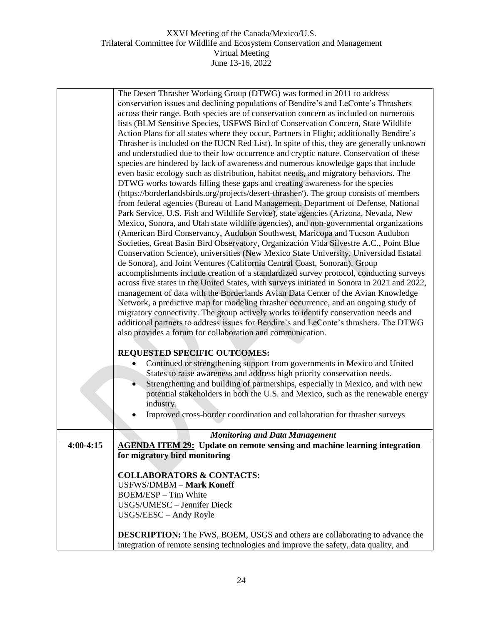|             | The Desert Thrasher Working Group (DTWG) was formed in 2011 to address                      |
|-------------|---------------------------------------------------------------------------------------------|
|             | conservation issues and declining populations of Bendire's and LeConte's Thrashers          |
|             | across their range. Both species are of conservation concern as included on numerous        |
|             | lists (BLM Sensitive Species, USFWS Bird of Conservation Concern, State Wildlife            |
|             | Action Plans for all states where they occur, Partners in Flight; additionally Bendire's    |
|             | Thrasher is included on the IUCN Red List). In spite of this, they are generally unknown    |
|             |                                                                                             |
|             | and understudied due to their low occurrence and cryptic nature. Conservation of these      |
|             | species are hindered by lack of awareness and numerous knowledge gaps that include          |
|             | even basic ecology such as distribution, habitat needs, and migratory behaviors. The        |
|             | DTWG works towards filling these gaps and creating awareness for the species                |
|             | (https://borderlandsbirds.org/projects/desert-thrasher/). The group consists of members     |
|             | from federal agencies (Bureau of Land Management, Department of Defense, National           |
|             | Park Service, U.S. Fish and Wildlife Service), state agencies (Arizona, Nevada, New         |
|             | Mexico, Sonora, and Utah state wildlife agencies), and non-governmental organizations       |
|             | (American Bird Conservancy, Audubon Southwest, Maricopa and Tucson Audubon                  |
|             |                                                                                             |
|             | Societies, Great Basin Bird Observatory, Organización Vida Silvestre A.C., Point Blue       |
|             | Conservation Science), universities (New Mexico State University, Universidad Estatal       |
|             | de Sonora), and Joint Ventures (California Central Coast, Sonoran). Group                   |
|             | accomplishments include creation of a standardized survey protocol, conducting surveys      |
|             | across five states in the United States, with surveys initiated in Sonora in 2021 and 2022, |
|             | management of data with the Borderlands Avian Data Center of the Avian Knowledge            |
|             | Network, a predictive map for modeling thrasher occurrence, and an ongoing study of         |
|             | migratory connectivity. The group actively works to identify conservation needs and         |
|             | additional partners to address issues for Bendire's and LeConte's thrashers. The DTWG       |
|             | also provides a forum for collaboration and communication.                                  |
|             |                                                                                             |
|             |                                                                                             |
|             | <b>REQUESTED SPECIFIC OUTCOMES:</b>                                                         |
|             | Continued or strengthening support from governments in Mexico and United                    |
|             | States to raise awareness and address high priority conservation needs.                     |
|             | Strengthening and building of partnerships, especially in Mexico, and with new              |
|             | potential stakeholders in both the U.S. and Mexico, such as the renewable energy            |
|             | industry.                                                                                   |
|             | Improved cross-border coordination and collaboration for thrasher surveys                   |
|             |                                                                                             |
|             |                                                                                             |
|             | <b>Monitoring and Data Management</b>                                                       |
| $4:00-4:15$ | <b>AGENDA ITEM 29:</b> Update on remote sensing and machine learning integration            |
|             | for migratory bird monitoring                                                               |
|             |                                                                                             |
|             | <b>COLLABORATORS &amp; CONTACTS:</b>                                                        |
|             | <b>USFWS/DMBM - Mark Koneff</b>                                                             |
|             | <b>BOEM/ESP</b> - Tim White                                                                 |
|             | USGS/UMESC - Jennifer Dieck                                                                 |
|             | USGS/EESC - Andy Royle                                                                      |
|             |                                                                                             |
|             | <b>DESCRIPTION:</b> The FWS, BOEM, USGS and others are collaborating to advance the         |
|             |                                                                                             |
|             | integration of remote sensing technologies and improve the safety, data quality, and        |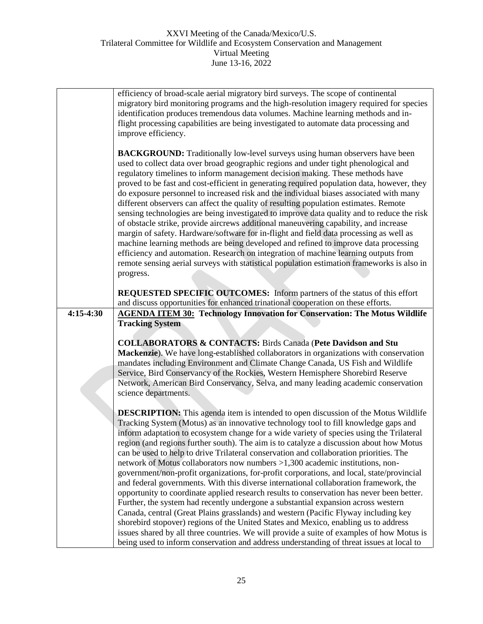| efficiency of broad-scale aerial migratory bird surveys. The scope of continental<br>migratory bird monitoring programs and the high-resolution imagery required for species<br>identification produces tremendous data volumes. Machine learning methods and in-<br>flight processing capabilities are being investigated to automate data processing and<br>improve efficiency.                                                                                                                                                                                                                                                                                                                                                                                                                                                                                                                                                                                                                                                                                                                                                                                                                       |
|---------------------------------------------------------------------------------------------------------------------------------------------------------------------------------------------------------------------------------------------------------------------------------------------------------------------------------------------------------------------------------------------------------------------------------------------------------------------------------------------------------------------------------------------------------------------------------------------------------------------------------------------------------------------------------------------------------------------------------------------------------------------------------------------------------------------------------------------------------------------------------------------------------------------------------------------------------------------------------------------------------------------------------------------------------------------------------------------------------------------------------------------------------------------------------------------------------|
| <b>BACKGROUND:</b> Traditionally low-level surveys using human observers have been<br>used to collect data over broad geographic regions and under tight phenological and<br>regulatory timelines to inform management decision making. These methods have<br>proved to be fast and cost-efficient in generating required population data, however, they<br>do exposure personnel to increased risk and the individual biases associated with many<br>different observers can affect the quality of resulting population estimates. Remote<br>sensing technologies are being investigated to improve data quality and to reduce the risk<br>of obstacle strike, provide aircrews additional maneuvering capability, and increase<br>margin of safety. Hardware/software for in-flight and field data processing as well as<br>machine learning methods are being developed and refined to improve data processing<br>efficiency and automation. Research on integration of machine learning outputs from<br>remote sensing aerial surveys with statistical population estimation frameworks is also in<br>progress.                                                                                     |
| <b>REQUESTED SPECIFIC OUTCOMES:</b> Inform partners of the status of this effort<br>and discuss opportunities for enhanced trinational cooperation on these efforts.                                                                                                                                                                                                                                                                                                                                                                                                                                                                                                                                                                                                                                                                                                                                                                                                                                                                                                                                                                                                                                    |
| <b>AGENDA ITEM 30: Technology Innovation for Conservation: The Motus Wildlife</b><br><b>Tracking System</b>                                                                                                                                                                                                                                                                                                                                                                                                                                                                                                                                                                                                                                                                                                                                                                                                                                                                                                                                                                                                                                                                                             |
| <b>COLLABORATORS &amp; CONTACTS: Birds Canada (Pete Davidson and Stu</b><br>Mackenzie). We have long-established collaborators in organizations with conservation<br>mandates including Environment and Climate Change Canada, US Fish and Wildlife<br>Service, Bird Conservancy of the Rockies, Western Hemisphere Shorebird Reserve<br>Network, American Bird Conservancy, Selva, and many leading academic conservation<br>science departments.                                                                                                                                                                                                                                                                                                                                                                                                                                                                                                                                                                                                                                                                                                                                                      |
| <b>DESCRIPTION:</b> This agenda item is intended to open discussion of the Motus Wildlife<br>Tracking System (Motus) as an innovative technology tool to fill knowledge gaps and<br>inform adaptation to ecosystem change for a wide variety of species using the Trilateral<br>region (and regions further south). The aim is to catalyze a discussion about how Motus<br>can be used to help to drive Trilateral conservation and collaboration priorities. The<br>network of Motus collaborators now numbers $>1,300$ academic institutions, non-<br>government/non-profit organizations, for-profit corporations, and local, state/provincial<br>and federal governments. With this diverse international collaboration framework, the<br>opportunity to coordinate applied research results to conservation has never been better.<br>Further, the system had recently undergone a substantial expansion across western<br>Canada, central (Great Plains grasslands) and western (Pacific Flyway including key<br>shorebird stopover) regions of the United States and Mexico, enabling us to address<br>issues shared by all three countries. We will provide a suite of examples of how Motus is |
|                                                                                                                                                                                                                                                                                                                                                                                                                                                                                                                                                                                                                                                                                                                                                                                                                                                                                                                                                                                                                                                                                                                                                                                                         |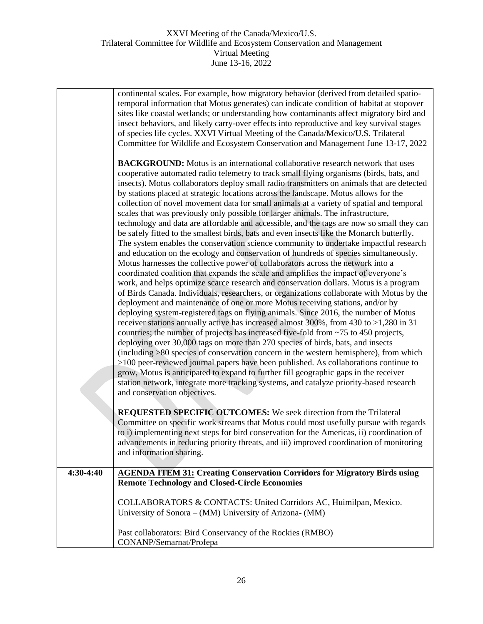|           | continental scales. For example, how migratory behavior (derived from detailed spatio-     |
|-----------|--------------------------------------------------------------------------------------------|
|           | temporal information that Motus generates) can indicate condition of habitat at stopover   |
|           | sites like coastal wetlands; or understanding how contaminants affect migratory bird and   |
|           | insect behaviors, and likely carry-over effects into reproductive and key survival stages  |
|           | of species life cycles. XXVI Virtual Meeting of the Canada/Mexico/U.S. Trilateral          |
|           | Committee for Wildlife and Ecosystem Conservation and Management June 13-17, 2022          |
|           | <b>BACKGROUND:</b> Motus is an international collaborative research network that uses      |
|           | cooperative automated radio telemetry to track small flying organisms (birds, bats, and    |
|           | insects). Motus collaborators deploy small radio transmitters on animals that are detected |
|           | by stations placed at strategic locations across the landscape. Motus allows for the       |
|           | collection of novel movement data for small animals at a variety of spatial and temporal   |
|           | scales that was previously only possible for larger animals. The infrastructure,           |
|           | technology and data are affordable and accessible, and the tags are now so small they can  |
|           | be safely fitted to the smallest birds, bats and even insects like the Monarch butterfly.  |
|           | The system enables the conservation science community to undertake impactful research      |
|           | and education on the ecology and conservation of hundreds of species simultaneously.       |
|           | Motus harnesses the collective power of collaborators across the network into a            |
|           | coordinated coalition that expands the scale and amplifies the impact of everyone's        |
|           | work, and helps optimize scarce research and conservation dollars. Motus is a program      |
|           | of Birds Canada. Individuals, researchers, or organizations collaborate with Motus by the  |
|           | deployment and maintenance of one or more Motus receiving stations, and/or by              |
|           | deploying system-registered tags on flying animals. Since 2016, the number of Motus        |
|           | receiver stations annually active has increased almost 300%, from 430 to >1,280 in 31      |
|           | countries; the number of projects has increased five-fold from ~75 to 450 projects,        |
|           | deploying over 30,000 tags on more than 270 species of birds, bats, and insects            |
|           | (including >80 species of conservation concern in the western hemisphere), from which      |
|           | $>100$ peer-reviewed journal papers have been published. As collaborations continue to     |
|           | grow, Motus is anticipated to expand to further fill geographic gaps in the receiver       |
|           | station network, integrate more tracking systems, and catalyze priority-based research     |
|           | and conservation objectives.                                                               |
|           | <b>REQUESTED SPECIFIC OUTCOMES:</b> We seek direction from the Trilateral                  |
|           | Committee on specific work streams that Motus could most usefully pursue with regards      |
|           | to i) implementing next steps for bird conservation for the Americas, ii) coordination of  |
|           | advancements in reducing priority threats, and iii) improved coordination of monitoring    |
|           | and information sharing.                                                                   |
| 4:30-4:40 | <b>AGENDA ITEM 31: Creating Conservation Corridors for Migratory Birds using</b>           |
|           | <b>Remote Technology and Closed-Circle Economies</b>                                       |
|           | COLLABORATORS & CONTACTS: United Corridors AC, Huimilpan, Mexico.                          |
|           | University of Sonora - (MM) University of Arizona- (MM)                                    |
|           |                                                                                            |
|           | Past collaborators: Bird Conservancy of the Rockies (RMBO)                                 |
|           | CONANP/Semarnat/Profepa                                                                    |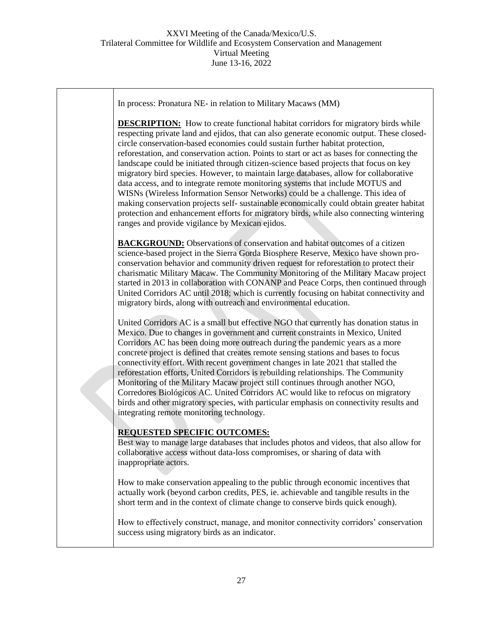| In process: Pronatura NE- in relation to Military Macaws (MM)                                                                                                                                                                                                                                                                                                                                                                                                                                                                                                                                                                                                                                                                                                                                                                                                                                                                                                         |
|-----------------------------------------------------------------------------------------------------------------------------------------------------------------------------------------------------------------------------------------------------------------------------------------------------------------------------------------------------------------------------------------------------------------------------------------------------------------------------------------------------------------------------------------------------------------------------------------------------------------------------------------------------------------------------------------------------------------------------------------------------------------------------------------------------------------------------------------------------------------------------------------------------------------------------------------------------------------------|
| <b>DESCRIPTION:</b> How to create functional habitat corridors for migratory birds while<br>respecting private land and ejidos, that can also generate economic output. These closed-<br>circle conservation-based economies could sustain further habitat protection,<br>reforestation, and conservation action. Points to start or act as bases for connecting the<br>landscape could be initiated through citizen-science based projects that focus on key<br>migratory bird species. However, to maintain large databases, allow for collaborative<br>data access, and to integrate remote monitoring systems that include MOTUS and<br>WISNs (Wireless Information Sensor Networks) could be a challenge. This idea of<br>making conservation projects self- sustainable economically could obtain greater habitat<br>protection and enhancement efforts for migratory birds, while also connecting wintering<br>ranges and provide vigilance by Mexican ejidos. |
| <b>BACKGROUND:</b> Observations of conservation and habitat outcomes of a citizen<br>science-based project in the Sierra Gorda Biosphere Reserve, Mexico have shown pro-<br>conservation behavior and community driven request for reforestation to protect their<br>charismatic Military Macaw. The Community Monitoring of the Military Macaw project<br>started in 2013 in collaboration with CONANP and Peace Corps, then continued through<br>United Corridors AC until 2018; which is currently focusing on habitat connectivity and<br>migratory birds, along with outreach and environmental education.                                                                                                                                                                                                                                                                                                                                                       |
| United Corridors AC is a small but effective NGO that currently has donation status in<br>Mexico. Due to changes in government and current constraints in Mexico, United<br>Corridors AC has been doing more outreach during the pandemic years as a more<br>concrete project is defined that creates remote sensing stations and bases to focus<br>connectivity effort. With recent government changes in late 2021 that stalled the<br>reforestation efforts, United Corridors is rebuilding relationships. The Community<br>Monitoring of the Military Macaw project still continues through another NGO,<br>Corredores Biológicos AC. United Corridors AC would like to refocus on migratory<br>birds and other migratory species, with particular emphasis on connectivity results and<br>integrating remote monitoring technology.                                                                                                                              |
| <b>REQUESTED SPECIFIC OUTCOMES:</b><br>Best way to manage large databases that includes photos and videos, that also allow for<br>collaborative access without data-loss compromises, or sharing of data with<br>inappropriate actors.                                                                                                                                                                                                                                                                                                                                                                                                                                                                                                                                                                                                                                                                                                                                |
| How to make conservation appealing to the public through economic incentives that<br>actually work (beyond carbon credits, PES, ie. achievable and tangible results in the<br>short term and in the context of climate change to conserve birds quick enough).                                                                                                                                                                                                                                                                                                                                                                                                                                                                                                                                                                                                                                                                                                        |
| How to effectively construct, manage, and monitor connectivity corridors' conservation<br>success using migratory birds as an indicator.                                                                                                                                                                                                                                                                                                                                                                                                                                                                                                                                                                                                                                                                                                                                                                                                                              |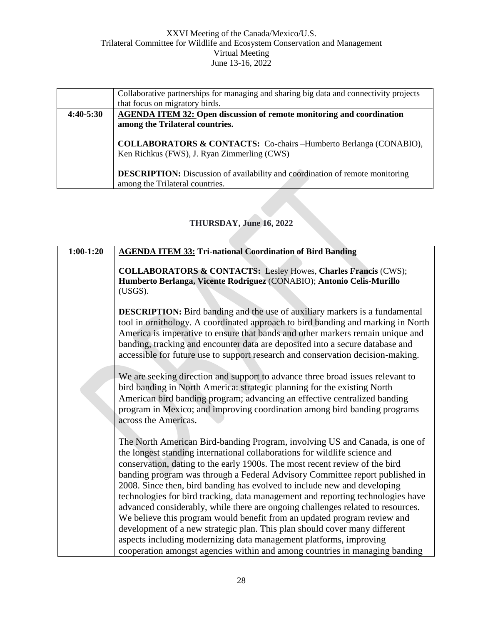|               | Collaborative partnerships for managing and sharing big data and connectivity projects                                       |
|---------------|------------------------------------------------------------------------------------------------------------------------------|
|               | that focus on migratory birds.                                                                                               |
| $4:40 - 5:30$ | <b>AGENDA ITEM 32: Open discussion of remote monitoring and coordination</b>                                                 |
|               | among the Trilateral countries.                                                                                              |
|               | <b>COLLABORATORS &amp; CONTACTS:</b> Co-chairs --Humberto Berlanga (CONABIO),<br>Ken Richkus (FWS), J. Ryan Zimmerling (CWS) |
|               | <b>DESCRIPTION:</b> Discussion of availability and coordination of remote monitoring<br>among the Trilateral countries.      |

# **THURSDAY, June 16, 2022**

| $1:00-1:20$ | <b>AGENDA ITEM 33: Tri-national Coordination of Bird Banding</b>                                                                                                                                                                                                                                                                                                                                                                                                                                                                                                           |
|-------------|----------------------------------------------------------------------------------------------------------------------------------------------------------------------------------------------------------------------------------------------------------------------------------------------------------------------------------------------------------------------------------------------------------------------------------------------------------------------------------------------------------------------------------------------------------------------------|
|             | <b>COLLABORATORS &amp; CONTACTS:</b> Lesley Howes, Charles Francis (CWS);<br>Humberto Berlanga, Vicente Rodriguez (CONABIO); Antonio Celis-Murillo<br>(USGS).                                                                                                                                                                                                                                                                                                                                                                                                              |
|             | <b>DESCRIPTION:</b> Bird banding and the use of auxiliary markers is a fundamental<br>tool in ornithology. A coordinated approach to bird banding and marking in North<br>America is imperative to ensure that bands and other markers remain unique and<br>banding, tracking and encounter data are deposited into a secure database and<br>accessible for future use to support research and conservation decision-making.                                                                                                                                               |
|             | We are seeking direction and support to advance three broad issues relevant to<br>bird banding in North America: strategic planning for the existing North<br>American bird banding program; advancing an effective centralized banding<br>program in Mexico; and improving coordination among bird banding programs<br>across the Americas.                                                                                                                                                                                                                               |
|             | The North American Bird-banding Program, involving US and Canada, is one of<br>the longest standing international collaborations for wildlife science and<br>conservation, dating to the early 1900s. The most recent review of the bird<br>banding program was through a Federal Advisory Committee report published in<br>2008. Since then, bird banding has evolved to include new and developing<br>technologies for bird tracking, data management and reporting technologies have<br>advanced considerably, while there are ongoing challenges related to resources. |
|             | We believe this program would benefit from an updated program review and                                                                                                                                                                                                                                                                                                                                                                                                                                                                                                   |
|             | development of a new strategic plan. This plan should cover many different<br>aspects including modernizing data management platforms, improving                                                                                                                                                                                                                                                                                                                                                                                                                           |
|             | cooperation amongst agencies within and among countries in managing banding                                                                                                                                                                                                                                                                                                                                                                                                                                                                                                |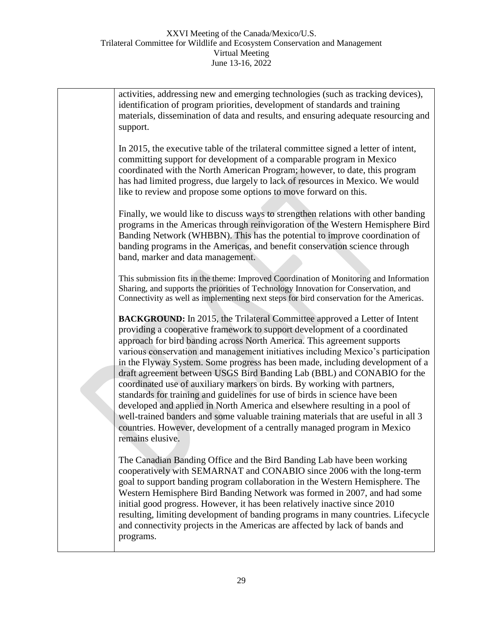activities, addressing new and emerging technologies (such as tracking devices), identification of program priorities, development of standards and training materials, dissemination of data and results, and ensuring adequate resourcing and support. In 2015, the executive table of the trilateral committee signed a letter of intent, committing support for development of a comparable program in Mexico coordinated with the North American Program; however, to date, this program has had limited progress, due largely to lack of resources in Mexico. We would like to review and propose some options to move forward on this. Finally, we would like to discuss ways to strengthen relations with other banding programs in the Americas through reinvigoration of the Western Hemisphere Bird Banding Network (WHBBN). This has the potential to improve coordination of banding programs in the Americas, and benefit conservation science through band, marker and data management. This submission fits in the theme: Improved Coordination of Monitoring and Information Sharing, and supports the priorities of Technology Innovation for Conservation, and Connectivity as well as implementing next steps for bird conservation for the Americas. **BACKGROUND:** In 2015, the Trilateral Committee approved a Letter of Intent providing a cooperative framework to support development of a coordinated approach for bird banding across North America. This agreement supports various conservation and management initiatives including Mexico's participation in the Flyway System. Some progress has been made, including development of a draft agreement between USGS Bird Banding Lab (BBL) and CONABIO for the coordinated use of auxiliary markers on birds. By working with partners, standards for training and guidelines for use of birds in science have been developed and applied in North America and elsewhere resulting in a pool of well-trained banders and some valuable training materials that are useful in all 3 countries. However, development of a centrally managed program in Mexico remains elusive. The Canadian Banding Office and the Bird Banding Lab have been working cooperatively with SEMARNAT and CONABIO since 2006 with the long-term goal to support banding program collaboration in the Western Hemisphere. The Western Hemisphere Bird Banding Network was formed in 2007, and had some initial good progress. However, it has been relatively inactive since 2010 resulting, limiting development of banding programs in many countries. Lifecycle and connectivity projects in the Americas are affected by lack of bands and programs.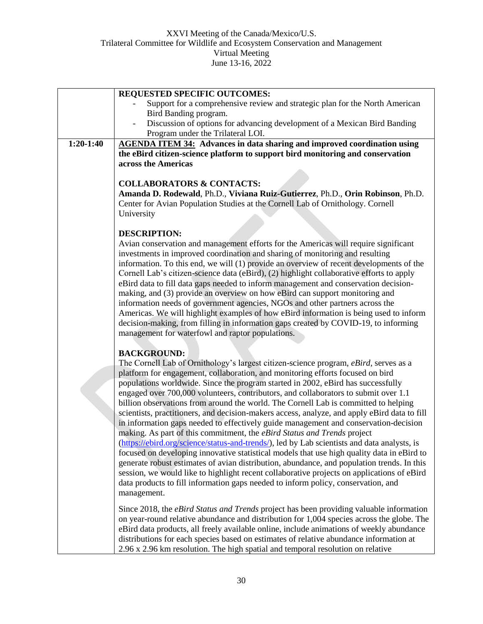|             | <b>REQUESTED SPECIFIC OUTCOMES:</b>                                                                                                                                                |
|-------------|------------------------------------------------------------------------------------------------------------------------------------------------------------------------------------|
|             | Support for a comprehensive review and strategic plan for the North American                                                                                                       |
|             | Bird Banding program.                                                                                                                                                              |
|             | Discussion of options for advancing development of a Mexican Bird Banding                                                                                                          |
|             | Program under the Trilateral LOI.                                                                                                                                                  |
| $1:20-1:40$ | <b>AGENDA ITEM 34:</b> Advances in data sharing and improved coordination using                                                                                                    |
|             | the eBird citizen-science platform to support bird monitoring and conservation                                                                                                     |
|             | across the Americas                                                                                                                                                                |
|             |                                                                                                                                                                                    |
|             | <b>COLLABORATORS &amp; CONTACTS:</b><br>Amanda D. Rodewald, Ph.D., Viviana Ruiz-Gutierrez, Ph.D., Orin Robinson, Ph.D.                                                             |
|             | Center for Avian Population Studies at the Cornell Lab of Ornithology. Cornell                                                                                                     |
|             | University                                                                                                                                                                         |
|             |                                                                                                                                                                                    |
|             | <b>DESCRIPTION:</b>                                                                                                                                                                |
|             | Avian conservation and management efforts for the Americas will require significant                                                                                                |
|             | investments in improved coordination and sharing of monitoring and resulting                                                                                                       |
|             | information. To this end, we will (1) provide an overview of recent developments of the                                                                                            |
|             | Cornell Lab's citizen-science data (eBird), (2) highlight collaborative efforts to apply                                                                                           |
|             | eBird data to fill data gaps needed to inform management and conservation decision-                                                                                                |
|             | making, and (3) provide an overview on how eBird can support monitoring and                                                                                                        |
|             | information needs of government agencies, NGOs and other partners across the                                                                                                       |
|             | Americas. We will highlight examples of how eBird information is being used to inform                                                                                              |
|             | decision-making, from filling in information gaps created by COVID-19, to informing                                                                                                |
|             | management for waterfowl and raptor populations.                                                                                                                                   |
|             |                                                                                                                                                                                    |
|             | <b>BACKGROUND:</b>                                                                                                                                                                 |
|             | The Cornell Lab of Ornithology's largest citizen-science program, eBird, serves as a                                                                                               |
|             | platform for engagement, collaboration, and monitoring efforts focused on bird                                                                                                     |
|             | populations worldwide. Since the program started in 2002, eBird has successfully                                                                                                   |
|             | engaged over 700,000 volunteers, contributors, and collaborators to submit over 1.1<br>billion observations from around the world. The Cornell Lab is committed to helping         |
|             | scientists, practitioners, and decision-makers access, analyze, and apply eBird data to fill                                                                                       |
|             | in information gaps needed to effectively guide management and conservation-decision                                                                                               |
|             | making. As part of this commitment, the eBird Status and Trends project                                                                                                            |
|             | (https://ebird.org/science/status-and-trends/), led by Lab scientists and data analysts, is                                                                                        |
|             | focused on developing innovative statistical models that use high quality data in eBird to                                                                                         |
|             | generate robust estimates of avian distribution, abundance, and population trends. In this                                                                                         |
|             | session, we would like to highlight recent collaborative projects on applications of eBird                                                                                         |
|             | data products to fill information gaps needed to inform policy, conservation, and                                                                                                  |
|             | management.                                                                                                                                                                        |
|             |                                                                                                                                                                                    |
|             | Since 2018, the <i>eBird Status and Trends</i> project has been providing valuable information                                                                                     |
|             | on year-round relative abundance and distribution for 1,004 species across the globe. The                                                                                          |
|             | eBird data products, all freely available online, include animations of weekly abundance<br>distributions for each species based on estimates of relative abundance information at |
|             | 2.96 x 2.96 km resolution. The high spatial and temporal resolution on relative                                                                                                    |
|             |                                                                                                                                                                                    |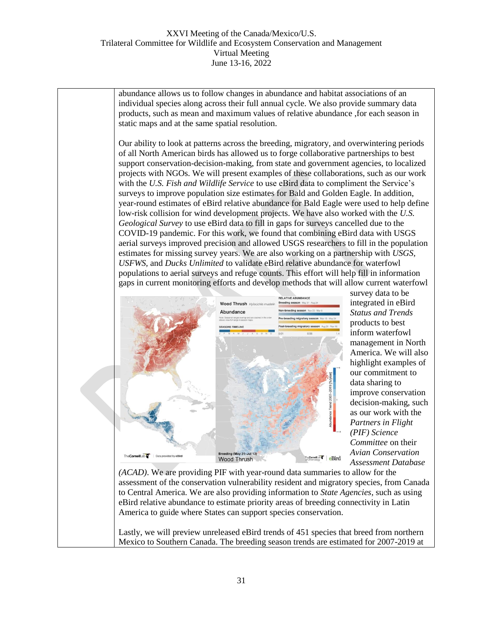abundance allows us to follow changes in abundance and habitat associations of an individual species along across their full annual cycle. We also provide summary data products, such as mean and maximum values of relative abundance ,for each season in static maps and at the same spatial resolution. Our ability to look at patterns across the breeding, migratory, and overwintering periods of all North American birds has allowed us to forge collaborative partnerships to best support conservation-decision-making, from state and government agencies, to localized projects with NGOs. We will present examples of these collaborations, such as our work with the *U.S. Fish and Wildlife Service* to use eBird data to compliment the Service's surveys to improve population size estimates for Bald and Golden Eagle. In addition, year-round estimates of eBird relative abundance for Bald Eagle were used to help define low-risk collision for wind development projects. We have also worked with the *U.S. Geological Survey* to use eBird data to fill in gaps for surveys cancelled due to the COVID-19 pandemic. For this work, we found that combining eBird data with USGS aerial surveys improved precision and allowed USGS researchers to fill in the population estimates for missing survey years. We are also working on a partnership with *USGS, USFWS,* and *Ducks Unlimited* to validate eBird relative abundance for waterfowl populations to aerial surveys and refuge counts. This effort will help fill in information



gaps in current monitoring efforts and develop methods that will allow current waterfowl survey data to be integrated in eBird *Status and Trends* products to best inform waterfowl management in North America. We will also highlight examples of our commitment to data sharing to improve conservation decision-making, such as our work with the *Partners in Flight (PIF) Science Committee* on their *Avian Conservation Assessment Database* 

*(ACAD)*. We are providing PIF with year-round data summaries to allow for the assessment of the conservation vulnerability resident and migratory species, from Canada to Central America. We are also providing information to *State Agencies*, such as using eBird relative abundance to estimate priority areas of breeding connectivity in Latin America to guide where States can support species conservation.

Lastly, we will preview unreleased eBird trends of 451 species that breed from northern Mexico to Southern Canada. The breeding season trends are estimated for 2007-2019 at